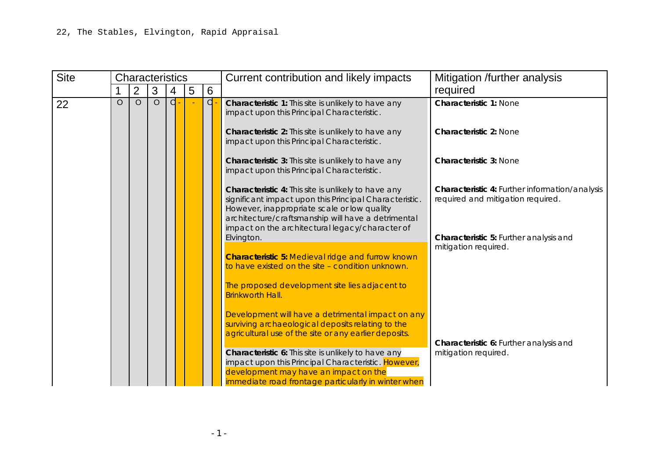**HIA Appendix 7:** Gypsies and Travellers Appraisal

All sites are in Allocation Reference Number Order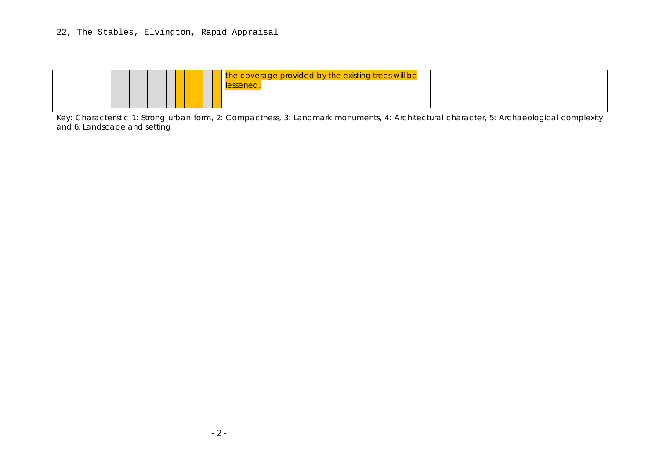| <b>Site</b> |         | <b>Characteristics</b> |         |   |   |   | Current contribution and likely impacts                                                                                                                                                                                                                               | Mitigation /further analysis                                                        |
|-------------|---------|------------------------|---------|---|---|---|-----------------------------------------------------------------------------------------------------------------------------------------------------------------------------------------------------------------------------------------------------------------------|-------------------------------------------------------------------------------------|
|             |         | $\overline{2}$         | 3       | 4 | 5 | 6 |                                                                                                                                                                                                                                                                       | required                                                                            |
| 22          | $\circ$ | $\circ$                | $\circ$ | d |   | d | Characteristic 1: This site is unlikely to have any<br>impact upon this Principal Characteristic.                                                                                                                                                                     | <b>Characteristic 1: None</b>                                                       |
|             |         |                        |         |   |   |   | Characteristic 2: This site is unlikely to have any<br>impact upon this Principal Characteristic.                                                                                                                                                                     | <b>Characteristic 2: None</b>                                                       |
|             |         |                        |         |   |   |   | Characteristic 3: This site is unlikely to have any<br>impact upon this Principal Characteristic.                                                                                                                                                                     | <b>Characteristic 3: None</b>                                                       |
|             |         |                        |         |   |   |   | Characteristic 4: This site is unlikely to have any<br>significant impact upon this Principal Characteristic.<br>However, inappropriate scale or low quality<br>architecture/craftsmanship will have a detrimental<br>impact on the architectural legacy/character of | Characteristic 4: Further information/analysis<br>required and mitigation required. |
|             |         |                        |         |   |   |   | Elvington.<br><b>Characteristic 5: Medieval ridge and furrow known</b><br>to have existed on the site - condition unknown.                                                                                                                                            | Characteristic 5: Further analysis and<br>mitigation required.                      |
|             |         |                        |         |   |   |   | The proposed development site lies adjacent to<br><b>Brinkworth Hall.</b><br>Development will have a detrimental impact on any                                                                                                                                        |                                                                                     |
|             |         |                        |         |   |   |   | surviving archaeological deposits relating to the<br>agricultural use of the site or any earlier deposits.                                                                                                                                                            | Characteristic 6: Further analysis and                                              |
|             |         |                        |         |   |   |   | Characteristic 6: This site is unlikely to have any<br>impact upon this Principal Characteristic. However,<br>development may have an impact on the                                                                                                                   | mitigation required.                                                                |
|             |         |                        |         |   |   |   | immediate road frontage particularly in winter when                                                                                                                                                                                                                   |                                                                                     |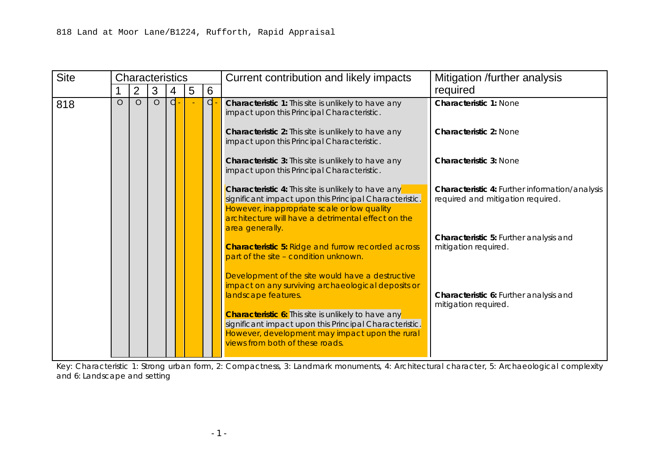

Key: Characteristic 1: Strong urban form, 2: Compactness, 3: Landmark monuments, 4: Architectural character, 5: Archaeological complexity and 6: Landscape and setting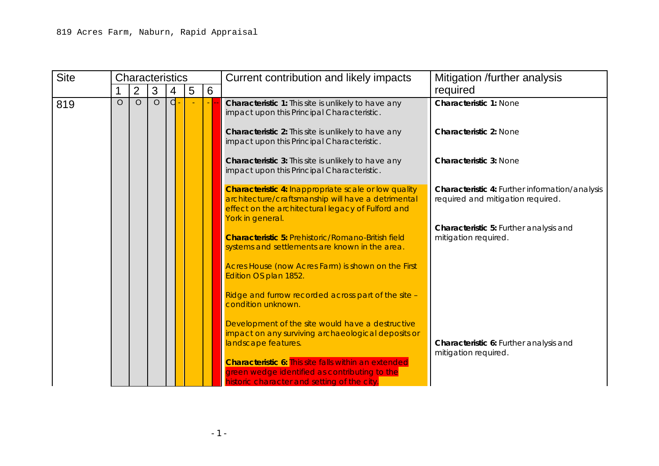| <b>Site</b> | <b>Characteristics</b> |                | Current contribution and likely impacts |   |                |                |                                                                                                                                                                                                                                                                                                                                            | Mitigation /further analysis                                                        |  |
|-------------|------------------------|----------------|-----------------------------------------|---|----------------|----------------|--------------------------------------------------------------------------------------------------------------------------------------------------------------------------------------------------------------------------------------------------------------------------------------------------------------------------------------------|-------------------------------------------------------------------------------------|--|
|             |                        | $\overline{2}$ | 3                                       | 4 | $\overline{5}$ | $6\phantom{1}$ |                                                                                                                                                                                                                                                                                                                                            | required                                                                            |  |
| 818         | $\Omega$               | $\circ$        | $\circ$                                 | d |                | d              | Characteristic 1: This site is unlikely to have any<br>impact upon this Principal Characteristic.                                                                                                                                                                                                                                          | <b>Characteristic 1: None</b>                                                       |  |
|             |                        |                |                                         |   |                |                | Characteristic 2: This site is unlikely to have any<br>impact upon this Principal Characteristic.                                                                                                                                                                                                                                          | <b>Characteristic 2: None</b>                                                       |  |
|             |                        |                |                                         |   |                |                | Characteristic 3: This site is unlikely to have any<br>impact upon this Principal Characteristic.                                                                                                                                                                                                                                          | <b>Characteristic 3: None</b>                                                       |  |
|             |                        |                |                                         |   |                |                | Characteristic 4: This site is unlikely to have any<br>significant impact upon this Principal Characteristic.<br>However, inappropriate scale or low quality<br>architecture will have a detrimental effect on the<br>area generally.                                                                                                      | Characteristic 4: Further information/analysis<br>required and mitigation required. |  |
|             |                        |                |                                         |   |                |                | <b>Characteristic 5: Ridge and furrow recorded across</b><br>part of the site - condition unknown.                                                                                                                                                                                                                                         | Characteristic 5: Further analysis and<br>mitigation required.                      |  |
|             |                        |                |                                         |   |                |                | Development of the site would have a destructive<br>impact on any surviving archaeological deposits or<br>landscape features.<br><b>Characteristic 6:</b> This site is unlikely to have any<br>significant impact upon this Principal Characteristic.<br>However, development may impact upon the rural<br>views from both of these roads. | Characteristic 6: Further analysis and<br>mitigation required.                      |  |

Key: Characteristic 1: Strong urban form, 2: Compactness, 3: Landmark monuments, 4: Architectural character, 5: Archaeological complexity and 6: Landscape and setting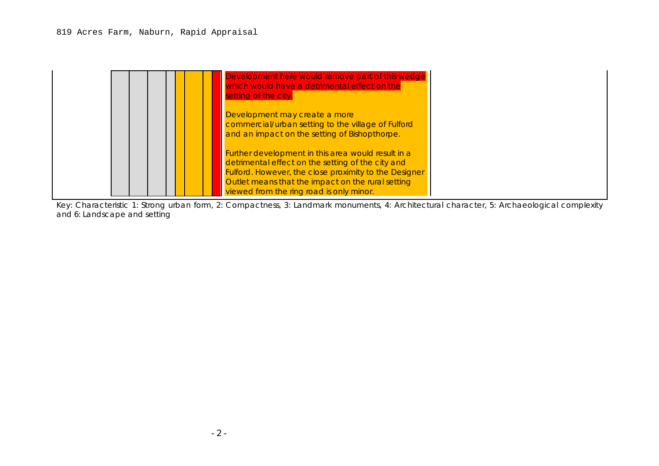| <b>Site</b> | <b>Characteristics</b> |                |                | Current contribution and likely impacts | Mitigation /further analysis |   |                                                                                                                                                                                            |                                                                                     |
|-------------|------------------------|----------------|----------------|-----------------------------------------|------------------------------|---|--------------------------------------------------------------------------------------------------------------------------------------------------------------------------------------------|-------------------------------------------------------------------------------------|
|             |                        | $\overline{2}$ | 3              | 4                                       | 5                            | 6 |                                                                                                                                                                                            | required                                                                            |
| 819         | $\overline{O}$         | $\circ$        | $\overline{O}$ | d                                       |                              |   | Characteristic 1: This site is unlikely to have any<br>impact upon this Principal Characteristic.<br>Characteristic 2: This site is unlikely to have any                                   | <b>Characteristic 1: None</b><br><b>Characteristic 2: None</b>                      |
|             |                        |                |                |                                         |                              |   | impact upon this Principal Characteristic.                                                                                                                                                 |                                                                                     |
|             |                        |                |                |                                         |                              |   | <b>Characteristic 3:</b> This site is unlikely to have any<br>impact upon this Principal Characteristic.                                                                                   | <b>Characteristic 3: None</b>                                                       |
|             |                        |                |                |                                         |                              |   | <b>Characteristic 4: Inappropriate scale or low quality</b><br>architecture/craftsmanship will have a detrimental<br>effect on the architectural legacy of Fulford and<br>York in general. | Characteristic 4: Further information/analysis<br>required and mitigation required. |
|             |                        |                |                |                                         |                              |   | <b>Characteristic 5: Prehistoric/Romano-British field</b><br>systems and settlements are known in the area.                                                                                | Characteristic 5: Further analysis and<br>mitigation required.                      |
|             |                        |                |                |                                         |                              |   | Acres House (now Acres Farm) is shown on the First<br>Edition OS plan 1852.                                                                                                                |                                                                                     |
|             |                        |                |                |                                         |                              |   | Ridge and furrow recorded across part of the site -<br>condition unknown.                                                                                                                  |                                                                                     |
|             |                        |                |                |                                         |                              |   | Development of the site would have a destructive<br>impact on any surviving archaeological deposits or<br>landscape features.                                                              | Characteristic 6: Further analysis and                                              |
|             |                        |                |                |                                         |                              |   | <b>Characteristic 6: This site falls within an extended</b><br>green wedge identified as contributing to the<br>historic character and setting of the city.                                | mitigation required.                                                                |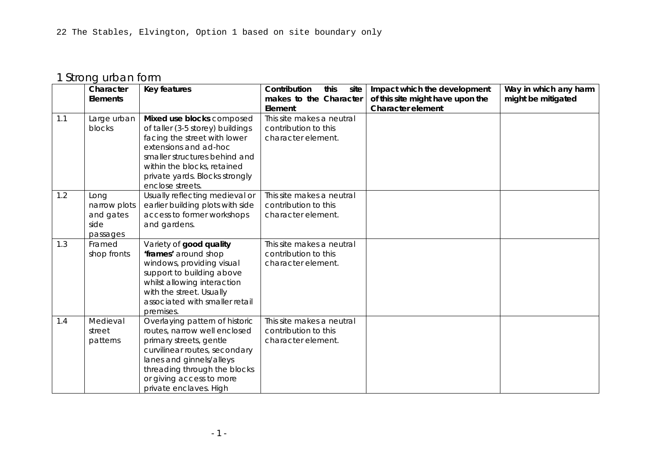#### 819 Acres Farm, Naburn, Rapid Appraisal

| setting of the city.          | Development here would remove part of this wedge<br>which would have a detrimental effect on the                                                                                                                                                                         |
|-------------------------------|--------------------------------------------------------------------------------------------------------------------------------------------------------------------------------------------------------------------------------------------------------------------------|
| Development may create a more | commercial/urban setting to the village of Fulford<br>and an impact on the setting of Bishopthorpe.                                                                                                                                                                      |
|                               | Further development in this area would result in a<br>detrimental effect on the setting of the city and<br><b>Fulford. However, the close proximity to the Designer</b><br>Outlet means that the impact on the rural setting<br>viewed from the ring road is only minor. |

Key: Characteristic 1: Strong urban form, 2: Compactness, 3: Landmark monuments, 4: Architectural character, 5: Archaeological complexity and 6: Landscape and setting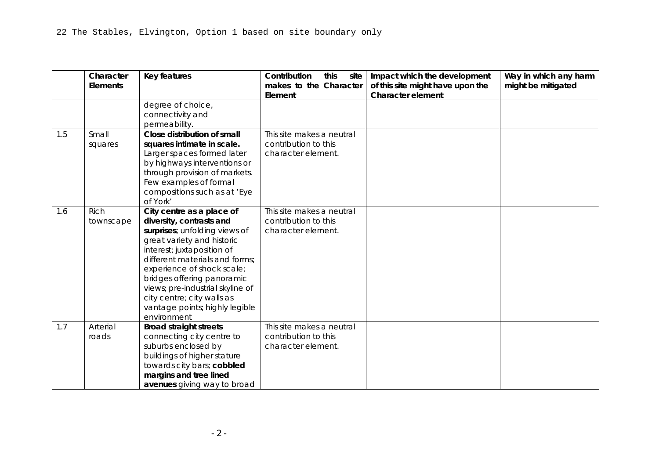# 1 Strong urban form

|     | Character    | <b>Key features</b>                         | this<br>Contribution<br>site      | Impact which the development                                 | Way in which any harm |
|-----|--------------|---------------------------------------------|-----------------------------------|--------------------------------------------------------------|-----------------------|
|     | Elements     |                                             | makes to the Character<br>Element | of this site might have upon the<br><b>Character element</b> | might be mitigated    |
| 1.1 | Large urban  | Mixed use blocks composed                   | This site makes a neutral         |                                                              |                       |
|     | blocks       | of taller (3-5 storey) buildings            | contribution to this              |                                                              |                       |
|     |              | facing the street with lower                | character element.                |                                                              |                       |
|     |              | extensions and ad-hoc                       |                                   |                                                              |                       |
|     |              | smaller structures behind and               |                                   |                                                              |                       |
|     |              | within the blocks, retained                 |                                   |                                                              |                       |
|     |              | private yards. Blocks strongly              |                                   |                                                              |                       |
|     |              | enclose streets.                            |                                   |                                                              |                       |
| 1.2 | Long         | Usually reflecting medieval or              | This site makes a neutral         |                                                              |                       |
|     | narrow plots | earlier building plots with side            | contribution to this              |                                                              |                       |
|     | and gates    | access to former workshops                  | character element.                |                                                              |                       |
|     | side         | and gardens.                                |                                   |                                                              |                       |
|     | passages     |                                             |                                   |                                                              |                       |
| 1.3 | Framed       | Variety of good quality                     | This site makes a neutral         |                                                              |                       |
|     | shop fronts  | 'frames' around shop                        | contribution to this              |                                                              |                       |
|     |              | windows, providing visual                   | character element.                |                                                              |                       |
|     |              | support to building above                   |                                   |                                                              |                       |
|     |              | whilst allowing interaction                 |                                   |                                                              |                       |
|     |              | with the street. Usually                    |                                   |                                                              |                       |
|     |              | associated with smaller retail              |                                   |                                                              |                       |
| 1.4 | Medieval     | premises.<br>Overlaying pattern of historic | This site makes a neutral         |                                                              |                       |
|     | street       | routes, narrow well enclosed                | contribution to this              |                                                              |                       |
|     | patterns     | primary streets, gentle                     | character element.                |                                                              |                       |
|     |              | curvilinear routes, secondary               |                                   |                                                              |                       |
|     |              | lanes and ginnels/alleys                    |                                   |                                                              |                       |
|     |              | threading through the blocks                |                                   |                                                              |                       |
|     |              | or giving access to more                    |                                   |                                                              |                       |
|     |              | private enclaves. High                      |                                   |                                                              |                       |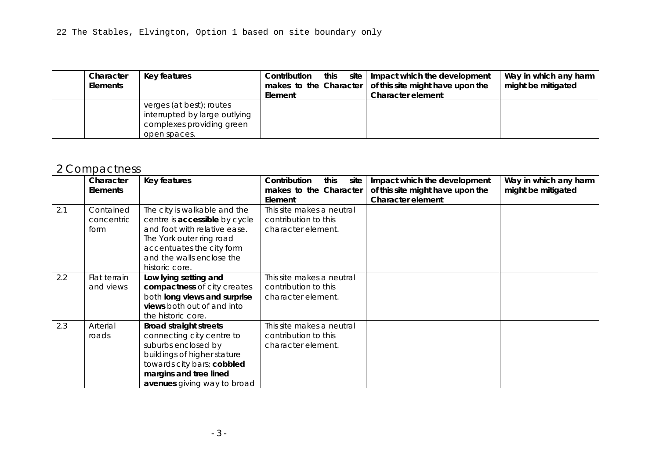|     | Character<br><b>Elements</b> | Key features                                                                                                                                                                                                                                                                                                                                                        | Contribution<br>this<br>site<br>makes to the Character<br>Element       | Impact which the development<br>of this site might have upon the<br><b>Character element</b> | Way in which any harm<br>might be mitigated |
|-----|------------------------------|---------------------------------------------------------------------------------------------------------------------------------------------------------------------------------------------------------------------------------------------------------------------------------------------------------------------------------------------------------------------|-------------------------------------------------------------------------|----------------------------------------------------------------------------------------------|---------------------------------------------|
|     |                              | degree of choice,<br>connectivity and<br>permeability.                                                                                                                                                                                                                                                                                                              |                                                                         |                                                                                              |                                             |
| 1.5 | Small<br>squares             | Close distribution of small<br>squares intimate in scale.<br>Larger spaces formed later<br>by highways interventions or<br>through provision of markets.<br>Few examples of formal<br>compositions such as at 'Eye<br>of York'                                                                                                                                      | This site makes a neutral<br>contribution to this<br>character element. |                                                                                              |                                             |
| 1.6 | <b>Rich</b><br>townscape     | City centre as a place of<br>diversity, contrasts and<br>surprises; unfolding views of<br>great variety and historic<br>interest; juxtaposition of<br>different materials and forms;<br>experience of shock scale;<br>bridges offering panoramic<br>views; pre-industrial skyline of<br>city centre; city walls as<br>vantage points; highly legible<br>environment | This site makes a neutral<br>contribution to this<br>character element. |                                                                                              |                                             |
| 1.7 | Arterial<br>roads            | <b>Broad straight streets</b><br>connecting city centre to<br>suburbs enclosed by<br>buildings of higher stature<br>towards city bars; cobbled<br>margins and tree lined<br>avenues giving way to broad                                                                                                                                                             | This site makes a neutral<br>contribution to this<br>character element. |                                                                                              |                                             |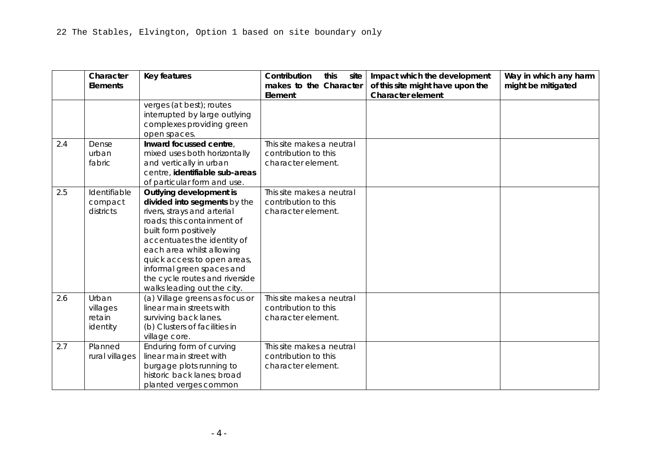| Character<br><b>Elements</b> | Key features                                                                                           | Contribution this<br>Element | site   Impact which the development<br>makes to the Character $\vert$ of this site might have upon the<br><b>Character element</b> | Way in which any harm<br>might be mitigated |
|------------------------------|--------------------------------------------------------------------------------------------------------|------------------------------|------------------------------------------------------------------------------------------------------------------------------------|---------------------------------------------|
|                              | verges (at best); routes<br>interrupted by large outlying<br>complexes providing green<br>open spaces. |                              |                                                                                                                                    |                                             |

# 2 Compactness

|     | Character       | Key features                  | Contribution<br>this<br>site | Impact which the development     | Way in which any harm |
|-----|-----------------|-------------------------------|------------------------------|----------------------------------|-----------------------|
|     | <b>Elements</b> |                               | makes to the Character       | of this site might have upon the | might be mitigated    |
|     |                 |                               | Element                      | <b>Character element</b>         |                       |
| 2.1 | Contained       | The city is walkable and the  | This site makes a neutral    |                                  |                       |
|     | concentric      | centre is accessible by cycle | contribution to this         |                                  |                       |
|     | form            | and foot with relative ease.  | character element.           |                                  |                       |
|     |                 | The York outer ring road      |                              |                                  |                       |
|     |                 | accentuates the city form     |                              |                                  |                       |
|     |                 | and the walls enclose the     |                              |                                  |                       |
|     |                 | historic core.                |                              |                                  |                       |
| 2.2 | Flat terrain    | Low lying setting and         | This site makes a neutral    |                                  |                       |
|     | and views       | compactness of city creates   | contribution to this         |                                  |                       |
|     |                 | both long views and surprise  | character element.           |                                  |                       |
|     |                 | views both out of and into    |                              |                                  |                       |
|     |                 | the historic core.            |                              |                                  |                       |
| 2.3 | Arterial        | <b>Broad straight streets</b> | This site makes a neutral    |                                  |                       |
|     | roads           | connecting city centre to     | contribution to this         |                                  |                       |
|     |                 | suburbs enclosed by           | character element.           |                                  |                       |
|     |                 | buildings of higher stature   |                              |                                  |                       |
|     |                 | towards city bars; cobbled    |                              |                                  |                       |
|     |                 | margins and tree lined        |                              |                                  |                       |
|     |                 | avenues giving way to broad   |                              |                                  |                       |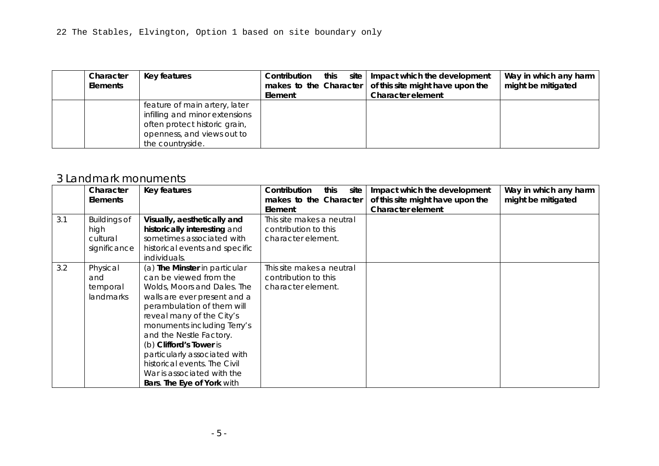|     | Character<br><b>Elements</b>            | <b>Key features</b>                                                                                                                                                                                                                                                                                                                    | Contribution<br>this<br>site<br>makes to the Character<br>Element       | Impact which the development<br>of this site might have upon the<br><b>Character element</b> | Way in which any harm<br>might be mitigated |
|-----|-----------------------------------------|----------------------------------------------------------------------------------------------------------------------------------------------------------------------------------------------------------------------------------------------------------------------------------------------------------------------------------------|-------------------------------------------------------------------------|----------------------------------------------------------------------------------------------|---------------------------------------------|
|     |                                         | verges (at best); routes<br>interrupted by large outlying<br>complexes providing green<br>open spaces.                                                                                                                                                                                                                                 |                                                                         |                                                                                              |                                             |
| 2.4 | Dense<br>urban<br>fabric                | Inward focussed centre,<br>mixed uses both horizontally<br>and vertically in urban<br>centre, identifiable sub-areas<br>of particular form and use.                                                                                                                                                                                    | This site makes a neutral<br>contribution to this<br>character element. |                                                                                              |                                             |
| 2.5 | Identifiable<br>compact<br>districts    | Outlying development is<br>divided into segments by the<br>rivers, strays and arterial<br>roads; this containment of<br>built form positively<br>accentuates the identity of<br>each area whilst allowing<br>quick access to open areas,<br>informal green spaces and<br>the cycle routes and riverside<br>walks leading out the city. | This site makes a neutral<br>contribution to this<br>character element. |                                                                                              |                                             |
| 2.6 | Urban<br>villages<br>retain<br>identity | (a) Village greens as focus or<br>linear main streets with<br>surviving back lanes.<br>(b) Clusters of facilities in<br>village core.                                                                                                                                                                                                  | This site makes a neutral<br>contribution to this<br>character element. |                                                                                              |                                             |
| 2.7 | Planned<br>rural villages               | Enduring form of curving<br>linear main street with<br>burgage plots running to<br>historic back lanes; broad<br>planted verges common                                                                                                                                                                                                 | This site makes a neutral<br>contribution to this<br>character element. |                                                                                              |                                             |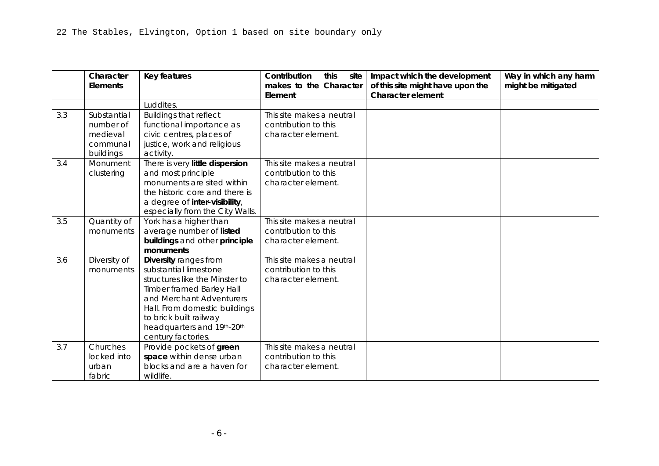| Character<br>Elements | Key features                                                                                                                                       | Contribution<br>this<br>Element | site   Impact which the development<br>makes to the Character $\vert$ of this site might have upon the<br><b>Character element</b> | Way in which any harm<br>might be mitigated |
|-----------------------|----------------------------------------------------------------------------------------------------------------------------------------------------|---------------------------------|------------------------------------------------------------------------------------------------------------------------------------|---------------------------------------------|
|                       | feature of main artery, later<br>infilling and minor extensions<br>often protect historic grain,<br>openness, and views out to<br>the countryside. |                                 |                                                                                                                                    |                                             |

#### 3 Landmark monuments

|     | Character           | Key features                                              | Contribution<br>this<br>site | Impact which the development     | Way in which any harm |
|-----|---------------------|-----------------------------------------------------------|------------------------------|----------------------------------|-----------------------|
|     | <b>Elements</b>     |                                                           | makes to the Character       | of this site might have upon the | might be mitigated    |
|     |                     |                                                           | Element                      | Character element                |                       |
| 3.1 | <b>Buildings of</b> | Visually, aesthetically and                               | This site makes a neutral    |                                  |                       |
|     | high                | historically interesting and<br>sometimes associated with | contribution to this         |                                  |                       |
|     | cultural            |                                                           | character element.           |                                  |                       |
|     | significance        | historical events and specific                            |                              |                                  |                       |
|     |                     | individuals.                                              |                              |                                  |                       |
| 3.2 | Physical            | (a) The Minster in particular                             | This site makes a neutral    |                                  |                       |
|     | and                 | can be viewed from the                                    | contribution to this         |                                  |                       |
|     | temporal            | Wolds, Moors and Dales. The                               | character element.           |                                  |                       |
|     | landmarks           | walls are ever present and a                              |                              |                                  |                       |
|     |                     | perambulation of them will                                |                              |                                  |                       |
|     |                     | reveal many of the City's                                 |                              |                                  |                       |
|     |                     | monuments including Terry's                               |                              |                                  |                       |
|     |                     | and the Nestle Factory.                                   |                              |                                  |                       |
|     |                     | (b) Clifford's Tower is                                   |                              |                                  |                       |
|     |                     | particularly associated with                              |                              |                                  |                       |
|     |                     | historical events. The Civil                              |                              |                                  |                       |
|     |                     | War is associated with the                                |                              |                                  |                       |
|     |                     | Bars. The Eye of York with                                |                              |                                  |                       |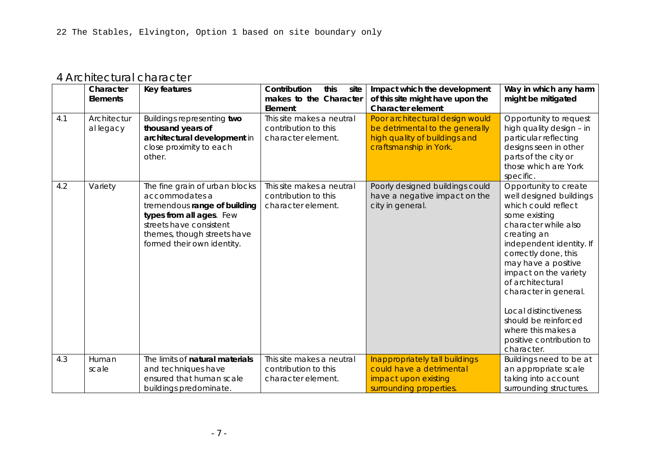|     | Character<br><b>Elements</b> | Key features                     | Contribution<br>this<br>site<br>makes to the Character | Impact which the development<br>of this site might have upon the | Way in which any harm<br>might be mitigated |
|-----|------------------------------|----------------------------------|--------------------------------------------------------|------------------------------------------------------------------|---------------------------------------------|
|     |                              |                                  | Element                                                | <b>Character element</b>                                         |                                             |
|     |                              | Luddites.                        |                                                        |                                                                  |                                             |
| 3.3 | Substantial                  | <b>Buildings that reflect</b>    | This site makes a neutral                              |                                                                  |                                             |
|     | number of                    | functional importance as         | contribution to this                                   |                                                                  |                                             |
|     | medieval                     | civic centres, places of         | character element.                                     |                                                                  |                                             |
|     | communal                     | justice, work and religious      |                                                        |                                                                  |                                             |
|     | buildings                    | activity.                        |                                                        |                                                                  |                                             |
| 3.4 | Monument                     | There is very little dispersion  | This site makes a neutral                              |                                                                  |                                             |
|     | clustering                   | and most principle               | contribution to this                                   |                                                                  |                                             |
|     |                              | monuments are sited within       | character element.                                     |                                                                  |                                             |
|     |                              | the historic core and there is   |                                                        |                                                                  |                                             |
|     |                              | a degree of inter-visibility,    |                                                        |                                                                  |                                             |
|     |                              | especially from the City Walls.  |                                                        |                                                                  |                                             |
| 3.5 | Quantity of                  | York has a higher than           | This site makes a neutral                              |                                                                  |                                             |
|     | monuments                    | average number of listed         | contribution to this                                   |                                                                  |                                             |
|     |                              | buildings and other principle    | character element.                                     |                                                                  |                                             |
|     |                              | monuments                        |                                                        |                                                                  |                                             |
| 3.6 | Diversity of                 | Diversity ranges from            | This site makes a neutral                              |                                                                  |                                             |
|     | monuments                    | substantial limestone            | contribution to this                                   |                                                                  |                                             |
|     |                              | structures like the Minster to   | character element.                                     |                                                                  |                                             |
|     |                              | <b>Timber framed Barley Hall</b> |                                                        |                                                                  |                                             |
|     |                              | and Merchant Adventurers         |                                                        |                                                                  |                                             |
|     |                              | Hall. From domestic buildings    |                                                        |                                                                  |                                             |
|     |                              | to brick built railway           |                                                        |                                                                  |                                             |
|     |                              | headquarters and 19th-20th       |                                                        |                                                                  |                                             |
|     |                              | century factories.               |                                                        |                                                                  |                                             |
| 3.7 | Churches                     | Provide pockets of green         | This site makes a neutral                              |                                                                  |                                             |
|     | locked into                  | space within dense urban         | contribution to this                                   |                                                                  |                                             |
|     | urban                        | blocks and are a haven for       | character element.                                     |                                                                  |                                             |
|     | fabric                       | wildlife.                        |                                                        |                                                                  |                                             |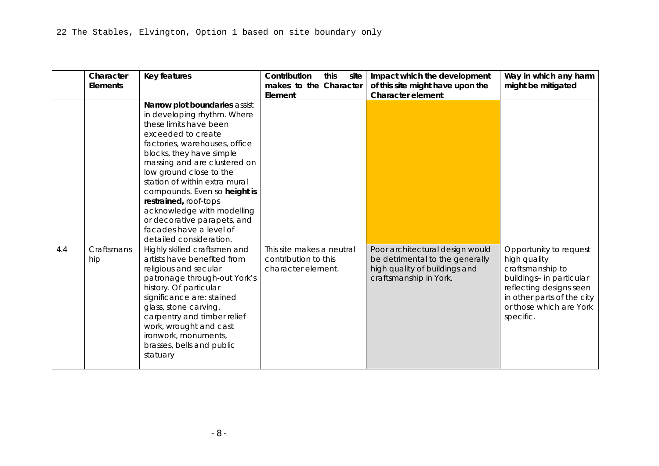### 4 Architectural character

|     | Character<br><b>Elements</b> | Key features                                                                                                                                                                                         | Contribution<br>this<br>site<br>makes to the Character                  | Impact which the development<br>of this site might have upon the                                                              | Way in which any harm<br>might be mitigated                                                                                                                                                                                                                                                                                                                                                       |
|-----|------------------------------|------------------------------------------------------------------------------------------------------------------------------------------------------------------------------------------------------|-------------------------------------------------------------------------|-------------------------------------------------------------------------------------------------------------------------------|---------------------------------------------------------------------------------------------------------------------------------------------------------------------------------------------------------------------------------------------------------------------------------------------------------------------------------------------------------------------------------------------------|
|     |                              |                                                                                                                                                                                                      | Element                                                                 | <b>Character element</b>                                                                                                      |                                                                                                                                                                                                                                                                                                                                                                                                   |
| 4.1 | Architectur<br>al legacy     | <b>Buildings representing two</b><br>thousand years of<br>architectural development in<br>close proximity to each<br>other.                                                                          | This site makes a neutral<br>contribution to this<br>character element. | Poor architectural design would<br>be detrimental to the generally<br>high quality of buildings and<br>craftsmanship in York. | Opportunity to request<br>high quality design - in<br>particular reflecting<br>designs seen in other<br>parts of the city or<br>those which are York<br>specific.                                                                                                                                                                                                                                 |
| 4.2 | Variety                      | The fine grain of urban blocks<br>accommodates a<br>tremendous range of building<br>types from all ages. Few<br>streets have consistent<br>themes, though streets have<br>formed their own identity. | This site makes a neutral<br>contribution to this<br>character element. | Poorly designed buildings could<br>have a negative impact on the<br>city in general.                                          | Opportunity to create<br>well designed buildings<br>which could reflect<br>some existing<br>character while also<br>creating an<br>independent identity. If<br>correctly done, this<br>may have a positive<br>impact on the variety<br>of architectural<br>character in general.<br>Local distinctiveness<br>should be reinforced<br>where this makes a<br>positive contribution to<br>character. |
| 4.3 | Human<br>scale               | The limits of natural materials<br>and techniques have<br>ensured that human scale<br>buildings predominate.                                                                                         | This site makes a neutral<br>contribution to this<br>character element. | Inappropriately tall buildings<br>could have a detrimental<br>impact upon existing<br>surrounding properties.                 | Buildings need to be at<br>an appropriate scale<br>taking into account<br>surrounding structures.                                                                                                                                                                                                                                                                                                 |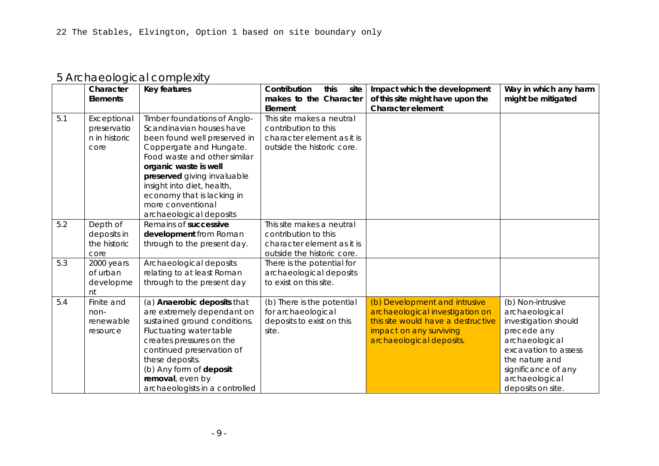|     | Character<br><b>Elements</b> | Key features                                                                                                                                                                                                                                                                                                                                                                                                                                      | Contribution<br>this<br>site<br>makes to the Character<br>Element       | Impact which the development<br>of this site might have upon the<br><b>Character element</b>                                  | Way in which any harm<br>might be mitigated                                                                                                                                             |
|-----|------------------------------|---------------------------------------------------------------------------------------------------------------------------------------------------------------------------------------------------------------------------------------------------------------------------------------------------------------------------------------------------------------------------------------------------------------------------------------------------|-------------------------------------------------------------------------|-------------------------------------------------------------------------------------------------------------------------------|-----------------------------------------------------------------------------------------------------------------------------------------------------------------------------------------|
|     |                              | Narrow plot boundaries assist<br>in developing rhythm. Where<br>these limits have been<br>exceeded to create<br>factories, warehouses, office<br>blocks, they have simple<br>massing and are clustered on<br>low ground close to the<br>station of within extra mural<br>compounds. Even so height is<br>restrained, roof-tops<br>acknowledge with modelling<br>or decorative parapets, and<br>facades have a level of<br>detailed consideration. |                                                                         |                                                                                                                               |                                                                                                                                                                                         |
| 4.4 | Craftsmans<br>hip            | Highly skilled craftsmen and<br>artists have benefited from<br>religious and secular<br>patronage through-out York's<br>history. Of particular<br>significance are: stained<br>glass, stone carving,<br>carpentry and timber relief<br>work, wrought and cast<br>ironwork, monuments,<br>brasses, bells and public<br>statuary                                                                                                                    | This site makes a neutral<br>contribution to this<br>character element. | Poor architectural design would<br>be detrimental to the generally<br>high quality of buildings and<br>craftsmanship in York. | Opportunity to request<br>high quality<br>craftsmanship to<br>buildings- in particular<br>reflecting designs seen<br>in other parts of the city<br>or those which are York<br>specific. |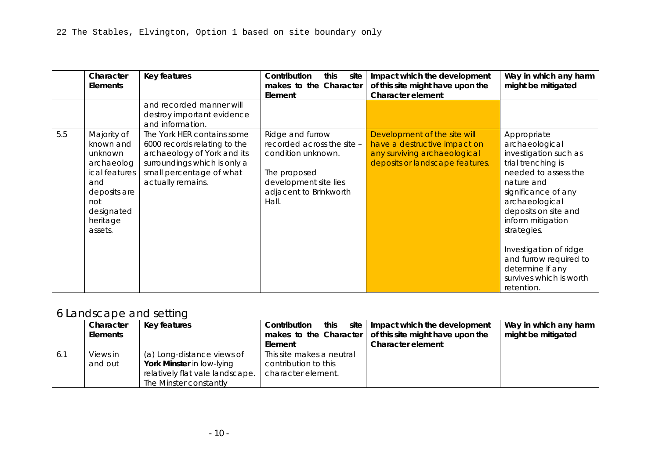|     | Character       | Key features                                             | Contribution<br>this<br>site                      | Impact which the development       | Way in which any harm |
|-----|-----------------|----------------------------------------------------------|---------------------------------------------------|------------------------------------|-----------------------|
|     | <b>Elements</b> |                                                          | makes to the Character                            | of this site might have upon the   | might be mitigated    |
|     |                 |                                                          | Element                                           | <b>Character element</b>           |                       |
| 5.1 | Exceptional     | Timber foundations of Anglo-                             | This site makes a neutral                         |                                    |                       |
|     | preservatio     | Scandinavian houses have                                 | contribution to this                              |                                    |                       |
|     | n in historic   | been found well preserved in                             | character element as it is                        |                                    |                       |
|     | core            | Coppergate and Hungate.                                  | outside the historic core.                        |                                    |                       |
|     |                 | Food waste and other similar                             |                                                   |                                    |                       |
|     |                 | organic waste is well                                    |                                                   |                                    |                       |
|     |                 | preserved giving invaluable                              |                                                   |                                    |                       |
|     |                 | insight into diet, health,                               |                                                   |                                    |                       |
|     |                 | economy that is lacking in                               |                                                   |                                    |                       |
|     |                 | more conventional                                        |                                                   |                                    |                       |
|     |                 | archaeological deposits                                  |                                                   |                                    |                       |
| 5.2 | Depth of        | Remains of successive                                    | This site makes a neutral                         |                                    |                       |
|     | deposits in     | development from Roman                                   | contribution to this                              |                                    |                       |
|     | the historic    | through to the present day.                              | character element as it is                        |                                    |                       |
|     | core            |                                                          | outside the historic core.                        |                                    |                       |
| 5.3 | 2000 years      | Archaeological deposits                                  | There is the potential for                        |                                    |                       |
|     | of urban        | relating to at least Roman<br>through to the present day | archaeological deposits<br>to exist on this site. |                                    |                       |
|     | developme<br>nt |                                                          |                                                   |                                    |                       |
| 5.4 | Finite and      | (a) Anaerobic deposits that                              | (b) There is the potential                        | (b) Development and intrusive      | (b) Non-intrusive     |
|     | non-            | are extremely dependant on                               | for archaeological                                | archaeological investigation on    | archaeological        |
|     | renewable       | sustained ground conditions.                             | deposits to exist on this                         | this site would have a destructive | investigation should  |
|     | resource        | Fluctuating water table                                  | site.                                             | impact on any surviving            | precede any           |
|     |                 | creates pressures on the                                 |                                                   | archaeological deposits.           | archaeological        |
|     |                 | continued preservation of                                |                                                   |                                    | excavation to assess  |
|     |                 | these deposits.                                          |                                                   |                                    | the nature and        |
|     |                 | (b) Any form of deposit                                  |                                                   |                                    | significance of any   |
|     |                 | removal, even by                                         |                                                   |                                    | archaeological        |
|     |                 | archaeologists in a controlled                           |                                                   |                                    | deposits on site.     |

### 5 Archaeological complexity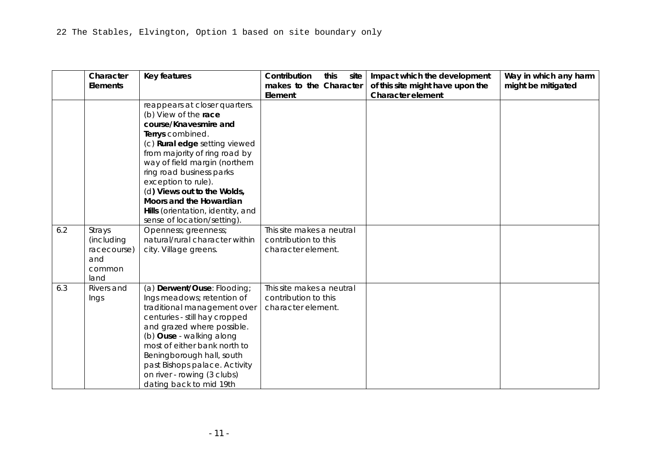|     | Character<br><b>Elements</b>                                                                                                          | Key features                                                                                                                                                               | Contribution<br>site<br>this<br>makes to the Character<br>Element                                                                                | Impact which the development<br>of this site might have upon the<br><b>Character element</b>                                    | Way in which any harm<br>might be mitigated                                                                                                                                                                                                                                                                                              |
|-----|---------------------------------------------------------------------------------------------------------------------------------------|----------------------------------------------------------------------------------------------------------------------------------------------------------------------------|--------------------------------------------------------------------------------------------------------------------------------------------------|---------------------------------------------------------------------------------------------------------------------------------|------------------------------------------------------------------------------------------------------------------------------------------------------------------------------------------------------------------------------------------------------------------------------------------------------------------------------------------|
|     |                                                                                                                                       | and recorded manner will<br>destroy important evidence<br>and information.                                                                                                 |                                                                                                                                                  |                                                                                                                                 |                                                                                                                                                                                                                                                                                                                                          |
| 5.5 | Majority of<br>known and<br>unknown<br>archaeolog<br>ical features<br>and<br>deposits are<br>not<br>designated<br>heritage<br>assets. | The York HER contains some<br>6000 records relating to the<br>archaeology of York and its<br>surroundings which is only a<br>small percentage of what<br>actually remains. | Ridge and furrow<br>recorded across the site -<br>condition unknown.<br>The proposed<br>development site lies<br>adjacent to Brinkworth<br>Hall. | Development of the site will<br>have a destructive impact on<br>any surviving archaeological<br>deposits or landscape features. | Appropriate<br>archaeological<br>investigation such as<br>trial trenching is<br>needed to assess the<br>nature and<br>significance of any<br>archaeological<br>deposits on site and<br>inform mitigation<br>strategies.<br>Investigation of ridge<br>and furrow required to<br>determine if any<br>survives which is worth<br>retention. |

# 6 Landscape and setting

|      | Character<br>Elements | Key features                    | Contribution<br>this      | site   Impact which the development<br>makes to the Character $\vert$ of this site might have upon the | Way in which any harm<br>might be mitigated |
|------|-----------------------|---------------------------------|---------------------------|--------------------------------------------------------------------------------------------------------|---------------------------------------------|
|      |                       |                                 | Element                   | Character element                                                                                      |                                             |
| -6.1 | Views in              | (a) Long-distance views of      | This site makes a neutral |                                                                                                        |                                             |
|      | and out               | York Minster in low-lying       | contribution to this      |                                                                                                        |                                             |
|      |                       | relatively flat vale landscape. | character element.        |                                                                                                        |                                             |
|      |                       | The Minster constantly          |                           |                                                                                                        |                                             |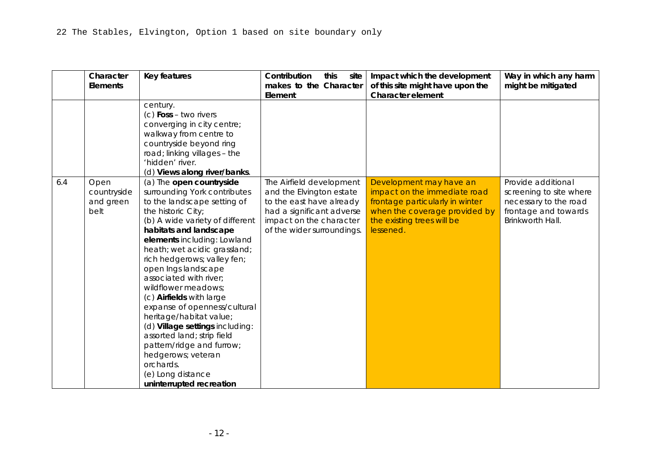|     | Character<br><b>Elements</b>                                 | Key features                                                                                                                                                                                                                                                                                                                                                                           | Contribution<br>this<br>site<br>makes to the Character<br>Element       | Impact which the development<br>of this site might have upon the<br><b>Character element</b> | Way in which any harm<br>might be mitigated |
|-----|--------------------------------------------------------------|----------------------------------------------------------------------------------------------------------------------------------------------------------------------------------------------------------------------------------------------------------------------------------------------------------------------------------------------------------------------------------------|-------------------------------------------------------------------------|----------------------------------------------------------------------------------------------|---------------------------------------------|
|     |                                                              | reappears at closer quarters.<br>(b) View of the race<br>course/Knavesmire and<br>Terrys combined.<br>(c) Rural edge setting viewed<br>from majority of ring road by<br>way of field margin (northern<br>ring road business parks<br>exception to rule).<br>(d) Views out to the Wolds,<br>Moors and the Howardian<br>Hills (orientation, identity, and<br>sense of location/setting). |                                                                         |                                                                                              |                                             |
| 6.2 | Strays<br>(including<br>racecourse)<br>and<br>common<br>land | Openness; greenness;<br>natural/rural character within<br>city. Village greens.                                                                                                                                                                                                                                                                                                        | This site makes a neutral<br>contribution to this<br>character element. |                                                                                              |                                             |
| 6.3 | Rivers and<br>Ings                                           | (a) Derwent/Ouse: Flooding;<br>Ings meadows; retention of<br>traditional management over<br>centuries - still hay cropped<br>and grazed where possible.<br>(b) Ouse - walking along<br>most of either bank north to<br>Beningborough hall, south<br>past Bishops palace. Activity<br>on river - rowing (3 clubs)<br>dating back to mid 19th                                            | This site makes a neutral<br>contribution to this<br>character element. |                                                                                              |                                             |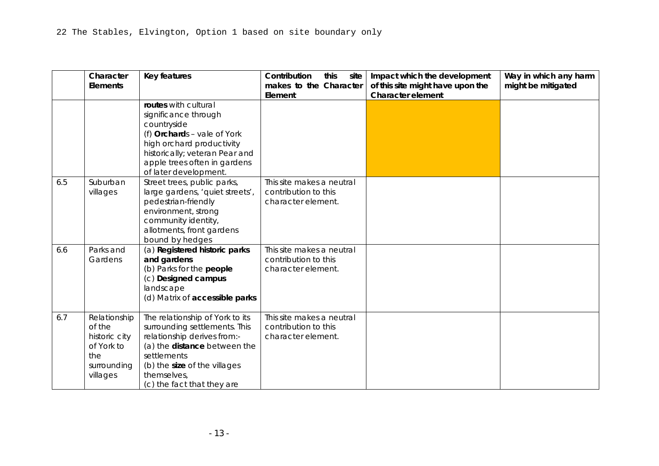|     | Character<br><b>Elements</b>             | Key features                                                                                                                                                                                                                                                                                                                                                                                                                                                                                                                                                                                                              | Contribution<br>this<br>site<br>makes to the Character                                                                                                                 | Impact which the development<br>of this site might have upon the<br><b>Character element</b>                                                                           | Way in which any harm<br>might be mitigated                                                                        |
|-----|------------------------------------------|---------------------------------------------------------------------------------------------------------------------------------------------------------------------------------------------------------------------------------------------------------------------------------------------------------------------------------------------------------------------------------------------------------------------------------------------------------------------------------------------------------------------------------------------------------------------------------------------------------------------------|------------------------------------------------------------------------------------------------------------------------------------------------------------------------|------------------------------------------------------------------------------------------------------------------------------------------------------------------------|--------------------------------------------------------------------------------------------------------------------|
|     |                                          | century.<br>$(c)$ Foss – two rivers<br>converging in city centre;<br>walkway from centre to<br>countryside beyond ring<br>road; linking villages - the<br>'hidden' river.<br>(d) Views along river/banks.                                                                                                                                                                                                                                                                                                                                                                                                                 | Element                                                                                                                                                                |                                                                                                                                                                        |                                                                                                                    |
| 6.4 | Open<br>countryside<br>and green<br>belt | (a) The open countryside<br>surrounding York contributes<br>to the landscape setting of<br>the historic City;<br>(b) A wide variety of different<br>habitats and landscape<br>elements including: Lowland<br>heath; wet acidic grassland;<br>rich hedgerows; valley fen;<br>open Ings landscape<br>associated with river;<br>wildflower meadows;<br>(c) Airfields with large<br>expanse of openness/cultural<br>heritage/habitat value;<br>(d) Village settings including:<br>assorted land; strip field<br>pattern/ridge and furrow;<br>hedgerows; veteran<br>orchards.<br>(e) Long distance<br>uninterrupted recreation | The Airfield development<br>and the Elvington estate<br>to the east have already<br>had a significant adverse<br>impact on the character<br>of the wider surroundings. | Development may have an<br>impact on the immediate road<br>frontage particularly in winter<br>when the coverage provided by<br>the existing trees will be<br>lessened. | Provide additional<br>screening to site where<br>necessary to the road<br>frontage and towards<br>Brinkworth Hall. |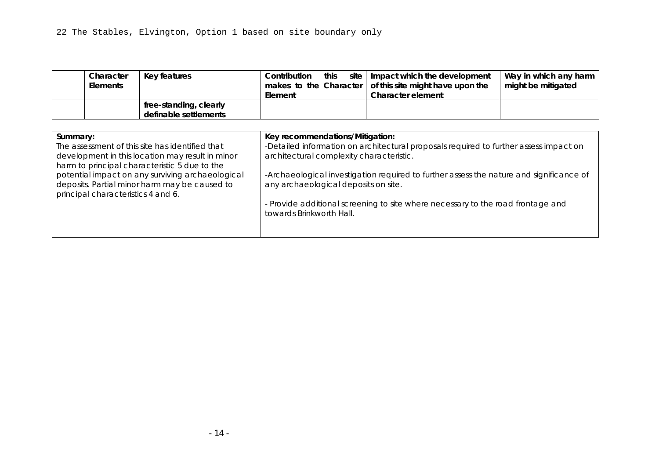|     | Character<br><b>Elements</b>                                                            | Key features                                                                                                                                                                                                                | Contribution<br>this<br>site<br>makes to the Character<br>Element       | Impact which the development<br>of this site might have upon the<br><b>Character element</b> | Way in which any harm<br>might be mitigated |
|-----|-----------------------------------------------------------------------------------------|-----------------------------------------------------------------------------------------------------------------------------------------------------------------------------------------------------------------------------|-------------------------------------------------------------------------|----------------------------------------------------------------------------------------------|---------------------------------------------|
|     |                                                                                         | routes with cultural<br>significance through<br>countryside<br>(f) Orchards - vale of York<br>high orchard productivity<br>historically; veteran Pear and<br>apple trees often in gardens<br>of later development.          |                                                                         |                                                                                              |                                             |
| 6.5 | Suburban<br>villages                                                                    | Street trees, public parks,<br>large gardens, 'quiet streets',<br>pedestrian-friendly<br>environment, strong<br>community identity,<br>allotments, front gardens<br>bound by hedges                                         | This site makes a neutral<br>contribution to this<br>character element. |                                                                                              |                                             |
| 6.6 | Parks and<br>Gardens                                                                    | (a) Registered historic parks<br>and gardens<br>(b) Parks for the people<br>(c) Designed campus<br>landscape<br>(d) Matrix of accessible parks                                                                              | This site makes a neutral<br>contribution to this<br>character element. |                                                                                              |                                             |
| 6.7 | Relationship<br>of the<br>historic city<br>of York to<br>the<br>surrounding<br>villages | The relationship of York to its<br>surrounding settlements. This<br>relationship derives from:-<br>(a) the distance between the<br>settlements<br>(b) the size of the villages<br>themselves,<br>(c) the fact that they are | This site makes a neutral<br>contribution to this<br>character element. |                                                                                              |                                             |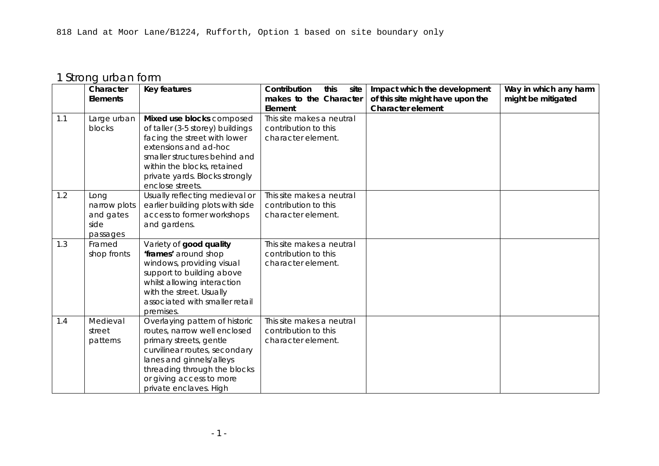| Character<br><b>Elements</b> | Key features           | this<br>Contribution<br>Element | site   Impact which the development<br>makes to the Character   of this site might have upon the<br>Character element | Way in which any harm<br>might be mitigated |
|------------------------------|------------------------|---------------------------------|-----------------------------------------------------------------------------------------------------------------------|---------------------------------------------|
|                              | free-standing, clearly |                                 |                                                                                                                       |                                             |
|                              | definable settlements  |                                 |                                                                                                                       |                                             |

| Summary:                                         | Key recommendations/Mitigation:                                                         |
|--------------------------------------------------|-----------------------------------------------------------------------------------------|
| The assessment of this site has identified that  | -Detailed information on architectural proposals required to further assess impact on   |
| development in this location may result in minor | architectural complexity characteristic.                                                |
| harm to principal characteristic 5 due to the    |                                                                                         |
| potential impact on any surviving archaeological | -Archaeological investigation required to further assess the nature and significance of |
| deposits. Partial minor harm may be caused to    | any archaeological deposits on site.                                                    |
| principal characteristics 4 and 6.               |                                                                                         |
|                                                  | - Provide additional screening to site where necessary to the road frontage and         |
|                                                  | towards Brinkworth Hall.                                                                |
|                                                  |                                                                                         |
|                                                  |                                                                                         |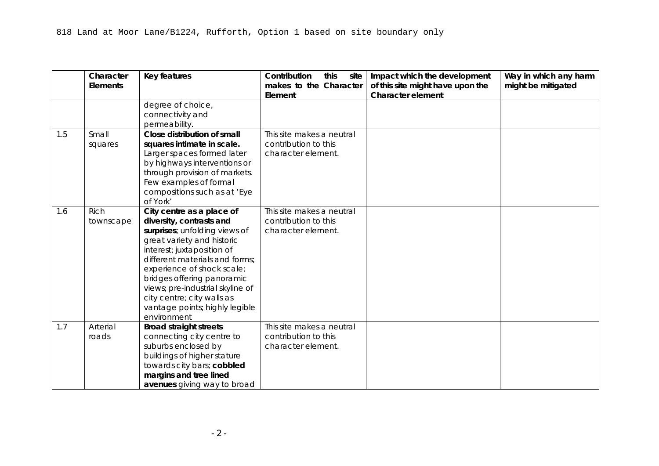# 1 Strong urban form

|     | Character    | <b>Key features</b>                         | this<br>Contribution<br>site      | Impact which the development                                 | Way in which any harm |
|-----|--------------|---------------------------------------------|-----------------------------------|--------------------------------------------------------------|-----------------------|
|     | Elements     |                                             | makes to the Character<br>Element | of this site might have upon the<br><b>Character element</b> | might be mitigated    |
| 1.1 | Large urban  | Mixed use blocks composed                   | This site makes a neutral         |                                                              |                       |
|     | blocks       | of taller (3-5 storey) buildings            | contribution to this              |                                                              |                       |
|     |              | facing the street with lower                | character element.                |                                                              |                       |
|     |              | extensions and ad-hoc                       |                                   |                                                              |                       |
|     |              | smaller structures behind and               |                                   |                                                              |                       |
|     |              | within the blocks, retained                 |                                   |                                                              |                       |
|     |              | private yards. Blocks strongly              |                                   |                                                              |                       |
|     |              | enclose streets.                            |                                   |                                                              |                       |
| 1.2 | Long         | Usually reflecting medieval or              | This site makes a neutral         |                                                              |                       |
|     | narrow plots | earlier building plots with side            | contribution to this              |                                                              |                       |
|     | and gates    | access to former workshops                  | character element.                |                                                              |                       |
|     | side         | and gardens.                                |                                   |                                                              |                       |
|     | passages     |                                             |                                   |                                                              |                       |
| 1.3 | Framed       | Variety of good quality                     | This site makes a neutral         |                                                              |                       |
|     | shop fronts  | 'frames' around shop                        | contribution to this              |                                                              |                       |
|     |              | windows, providing visual                   | character element.                |                                                              |                       |
|     |              | support to building above                   |                                   |                                                              |                       |
|     |              | whilst allowing interaction                 |                                   |                                                              |                       |
|     |              | with the street. Usually                    |                                   |                                                              |                       |
|     |              | associated with smaller retail              |                                   |                                                              |                       |
| 1.4 | Medieval     | premises.<br>Overlaying pattern of historic | This site makes a neutral         |                                                              |                       |
|     | street       | routes, narrow well enclosed                | contribution to this              |                                                              |                       |
|     | patterns     | primary streets, gentle                     | character element.                |                                                              |                       |
|     |              | curvilinear routes, secondary               |                                   |                                                              |                       |
|     |              | lanes and ginnels/alleys                    |                                   |                                                              |                       |
|     |              | threading through the blocks                |                                   |                                                              |                       |
|     |              | or giving access to more                    |                                   |                                                              |                       |
|     |              | private enclaves. High                      |                                   |                                                              |                       |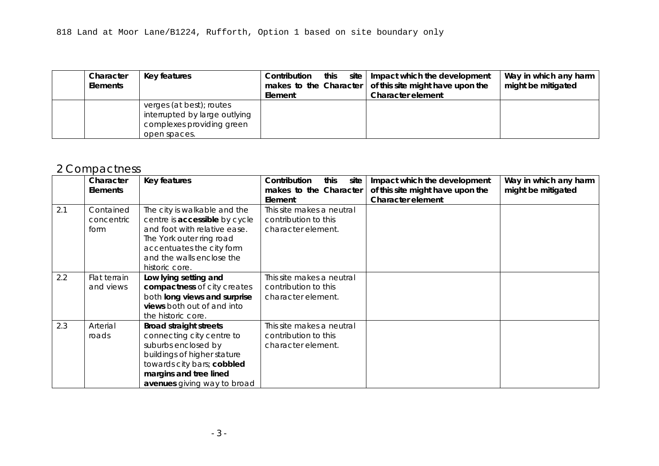|     | Character<br><b>Elements</b> | Key features                                                                                                                                                                                                                                                                                                                                                        | Contribution<br>this<br>site<br>makes to the Character<br>Element       | Impact which the development<br>of this site might have upon the<br><b>Character element</b> | Way in which any harm<br>might be mitigated |
|-----|------------------------------|---------------------------------------------------------------------------------------------------------------------------------------------------------------------------------------------------------------------------------------------------------------------------------------------------------------------------------------------------------------------|-------------------------------------------------------------------------|----------------------------------------------------------------------------------------------|---------------------------------------------|
|     |                              | degree of choice,<br>connectivity and<br>permeability.                                                                                                                                                                                                                                                                                                              |                                                                         |                                                                                              |                                             |
| 1.5 | Small<br>squares             | Close distribution of small<br>squares intimate in scale.<br>Larger spaces formed later<br>by highways interventions or<br>through provision of markets.<br>Few examples of formal<br>compositions such as at 'Eye<br>of York'                                                                                                                                      | This site makes a neutral<br>contribution to this<br>character element. |                                                                                              |                                             |
| 1.6 | <b>Rich</b><br>townscape     | City centre as a place of<br>diversity, contrasts and<br>surprises; unfolding views of<br>great variety and historic<br>interest; juxtaposition of<br>different materials and forms;<br>experience of shock scale;<br>bridges offering panoramic<br>views; pre-industrial skyline of<br>city centre; city walls as<br>vantage points; highly legible<br>environment | This site makes a neutral<br>contribution to this<br>character element. |                                                                                              |                                             |
| 1.7 | Arterial<br>roads            | <b>Broad straight streets</b><br>connecting city centre to<br>suburbs enclosed by<br>buildings of higher stature<br>towards city bars; cobbled<br>margins and tree lined<br>avenues giving way to broad                                                                                                                                                             | This site makes a neutral<br>contribution to this<br>character element. |                                                                                              |                                             |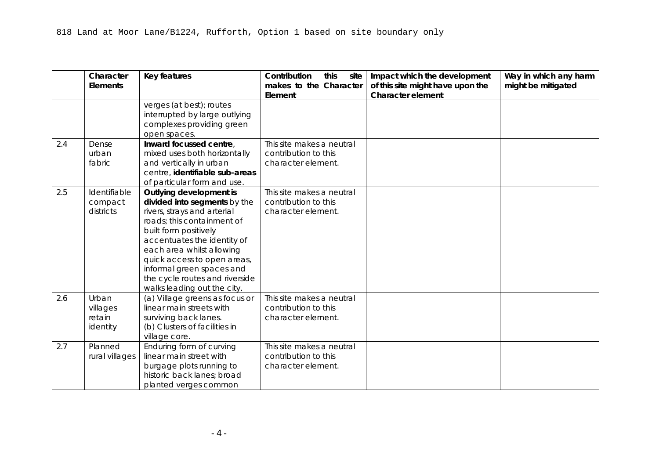| Character<br><b>Elements</b> | Key features                                                                                           | Contribution<br>this<br>Element | site $\vert$ Impact which the development<br>makes to the Character $\vert$ of this site might have upon the<br>Character element | Way in which any harm<br>might be mitigated |
|------------------------------|--------------------------------------------------------------------------------------------------------|---------------------------------|-----------------------------------------------------------------------------------------------------------------------------------|---------------------------------------------|
|                              | verges (at best); routes<br>interrupted by large outlying<br>complexes providing green<br>open spaces. |                                 |                                                                                                                                   |                                             |

# 2 Compactness

|     | Character       | Key features                  | Contribution<br>this<br>site | Impact which the development     | Way in which any harm |
|-----|-----------------|-------------------------------|------------------------------|----------------------------------|-----------------------|
|     | <b>Elements</b> |                               | makes to the Character       | of this site might have upon the | might be mitigated    |
|     |                 |                               | Element                      | <b>Character element</b>         |                       |
| 2.1 | Contained       | The city is walkable and the  | This site makes a neutral    |                                  |                       |
|     | concentric      | centre is accessible by cycle | contribution to this         |                                  |                       |
|     | form            | and foot with relative ease.  | character element.           |                                  |                       |
|     |                 | The York outer ring road      |                              |                                  |                       |
|     |                 | accentuates the city form     |                              |                                  |                       |
|     |                 | and the walls enclose the     |                              |                                  |                       |
|     |                 | historic core.                |                              |                                  |                       |
| 2.2 | Flat terrain    | Low lying setting and         | This site makes a neutral    |                                  |                       |
|     | and views       | compactness of city creates   | contribution to this         |                                  |                       |
|     |                 | both long views and surprise  | character element.           |                                  |                       |
|     |                 | views both out of and into    |                              |                                  |                       |
|     |                 | the historic core.            |                              |                                  |                       |
| 2.3 | Arterial        | <b>Broad straight streets</b> | This site makes a neutral    |                                  |                       |
|     | roads           | connecting city centre to     | contribution to this         |                                  |                       |
|     |                 | suburbs enclosed by           | character element.           |                                  |                       |
|     |                 | buildings of higher stature   |                              |                                  |                       |
|     |                 | towards city bars; cobbled    |                              |                                  |                       |
|     |                 | margins and tree lined        |                              |                                  |                       |
|     |                 | avenues giving way to broad   |                              |                                  |                       |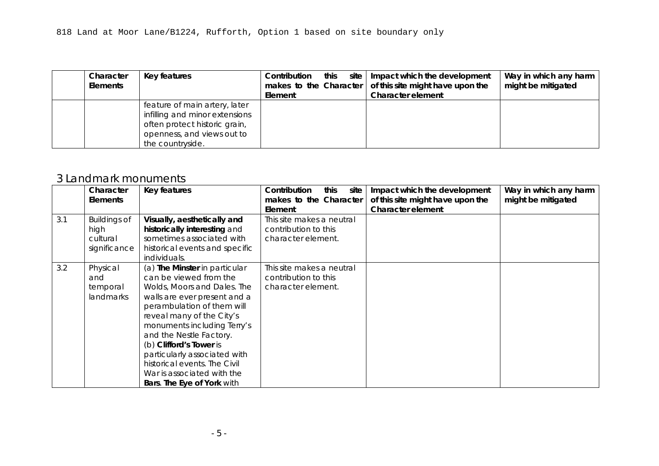|     | Character<br><b>Elements</b>            | <b>Key features</b>                                                                                                                                                                                                                                                                                                                    | Contribution<br>this<br>site<br>makes to the Character<br>Element       | Impact which the development<br>of this site might have upon the<br><b>Character element</b> | Way in which any harm<br>might be mitigated |
|-----|-----------------------------------------|----------------------------------------------------------------------------------------------------------------------------------------------------------------------------------------------------------------------------------------------------------------------------------------------------------------------------------------|-------------------------------------------------------------------------|----------------------------------------------------------------------------------------------|---------------------------------------------|
|     |                                         | verges (at best); routes<br>interrupted by large outlying<br>complexes providing green<br>open spaces.                                                                                                                                                                                                                                 |                                                                         |                                                                                              |                                             |
| 2.4 | Dense<br>urban<br>fabric                | Inward focussed centre,<br>mixed uses both horizontally<br>and vertically in urban<br>centre, identifiable sub-areas<br>of particular form and use.                                                                                                                                                                                    | This site makes a neutral<br>contribution to this<br>character element. |                                                                                              |                                             |
| 2.5 | Identifiable<br>compact<br>districts    | Outlying development is<br>divided into segments by the<br>rivers, strays and arterial<br>roads; this containment of<br>built form positively<br>accentuates the identity of<br>each area whilst allowing<br>quick access to open areas,<br>informal green spaces and<br>the cycle routes and riverside<br>walks leading out the city. | This site makes a neutral<br>contribution to this<br>character element. |                                                                                              |                                             |
| 2.6 | Urban<br>villages<br>retain<br>identity | (a) Village greens as focus or<br>linear main streets with<br>surviving back lanes.<br>(b) Clusters of facilities in<br>village core.                                                                                                                                                                                                  | This site makes a neutral<br>contribution to this<br>character element. |                                                                                              |                                             |
| 2.7 | Planned<br>rural villages               | Enduring form of curving<br>linear main street with<br>burgage plots running to<br>historic back lanes; broad<br>planted verges common                                                                                                                                                                                                 | This site makes a neutral<br>contribution to this<br>character element. |                                                                                              |                                             |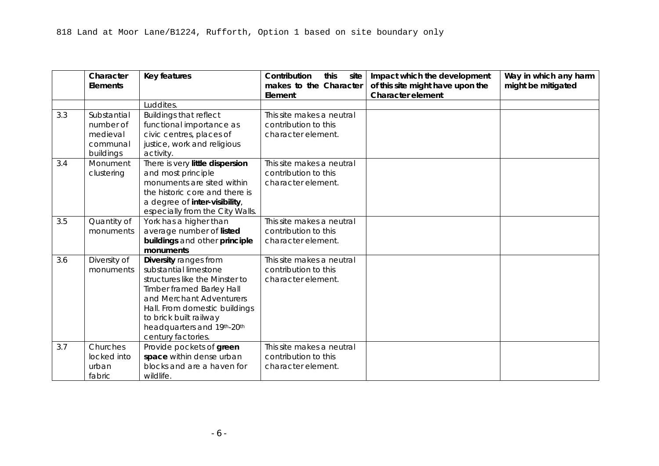| Character<br><b>Elements</b> | Key features                                                                                                                                       | Contribution<br>site l<br>this<br>Element | Impact which the development<br>makes to the Character $\vert$ of this site might have upon the<br><b>Character element</b> | Way in which any harm<br>might be mitigated |
|------------------------------|----------------------------------------------------------------------------------------------------------------------------------------------------|-------------------------------------------|-----------------------------------------------------------------------------------------------------------------------------|---------------------------------------------|
|                              | feature of main artery, later<br>infilling and minor extensions<br>often protect historic grain,<br>openness, and views out to<br>the countryside. |                                           |                                                                                                                             |                                             |

#### 3 Landmark monuments

|     | Character                                | Key features                                                                                                                                                                                                                                                                                                                                                                                       | Contribution<br>this<br>site                                            | Impact which the development     | Way in which any harm |
|-----|------------------------------------------|----------------------------------------------------------------------------------------------------------------------------------------------------------------------------------------------------------------------------------------------------------------------------------------------------------------------------------------------------------------------------------------------------|-------------------------------------------------------------------------|----------------------------------|-----------------------|
|     | <b>Elements</b>                          |                                                                                                                                                                                                                                                                                                                                                                                                    | makes to the Character                                                  | of this site might have upon the | might be mitigated    |
|     |                                          |                                                                                                                                                                                                                                                                                                                                                                                                    | Element                                                                 | Character element                |                       |
| 3.1 | <b>Buildings of</b><br>high              | Visually, aesthetically and<br>historically interesting and                                                                                                                                                                                                                                                                                                                                        | This site makes a neutral<br>contribution to this                       |                                  |                       |
|     | cultural                                 | sometimes associated with                                                                                                                                                                                                                                                                                                                                                                          | character element.                                                      |                                  |                       |
|     | significance                             | historical events and specific<br>individuals.                                                                                                                                                                                                                                                                                                                                                     |                                                                         |                                  |                       |
| 3.2 | Physical<br>and<br>temporal<br>landmarks | (a) The Minster in particular<br>can be viewed from the<br>Wolds, Moors and Dales. The<br>walls are ever present and a<br>perambulation of them will<br>reveal many of the City's<br>monuments including Terry's<br>and the Nestle Factory.<br>(b) Clifford's Tower is<br>particularly associated with<br>historical events. The Civil<br>War is associated with the<br>Bars. The Eye of York with | This site makes a neutral<br>contribution to this<br>character element. |                                  |                       |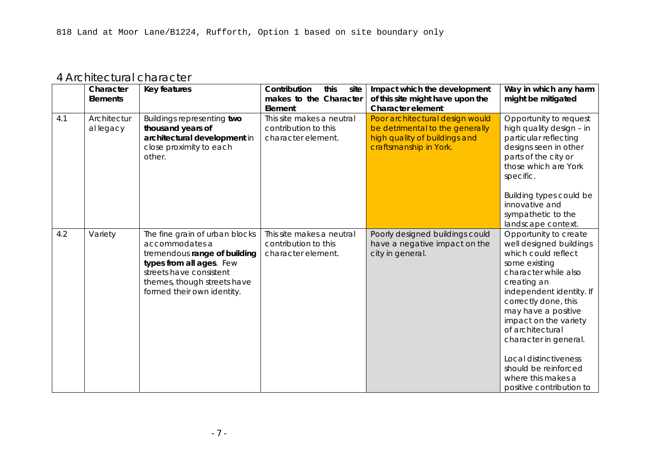|     | Character<br><b>Elements</b> | Key features                     | Contribution<br>this<br>site<br>makes to the Character | Impact which the development<br>of this site might have upon the | Way in which any harm<br>might be mitigated |
|-----|------------------------------|----------------------------------|--------------------------------------------------------|------------------------------------------------------------------|---------------------------------------------|
|     |                              |                                  | Element                                                | <b>Character element</b>                                         |                                             |
|     |                              | Luddites.                        |                                                        |                                                                  |                                             |
| 3.3 | Substantial                  | <b>Buildings that reflect</b>    | This site makes a neutral                              |                                                                  |                                             |
|     | number of                    | functional importance as         | contribution to this                                   |                                                                  |                                             |
|     | medieval                     | civic centres, places of         | character element.                                     |                                                                  |                                             |
|     | communal                     | justice, work and religious      |                                                        |                                                                  |                                             |
|     | buildings                    | activity.                        |                                                        |                                                                  |                                             |
| 3.4 | Monument                     | There is very little dispersion  | This site makes a neutral                              |                                                                  |                                             |
|     | clustering                   | and most principle               | contribution to this                                   |                                                                  |                                             |
|     |                              | monuments are sited within       | character element.                                     |                                                                  |                                             |
|     |                              | the historic core and there is   |                                                        |                                                                  |                                             |
|     |                              | a degree of inter-visibility,    |                                                        |                                                                  |                                             |
|     |                              | especially from the City Walls.  |                                                        |                                                                  |                                             |
| 3.5 | Quantity of                  | York has a higher than           | This site makes a neutral                              |                                                                  |                                             |
|     | monuments                    | average number of listed         | contribution to this                                   |                                                                  |                                             |
|     |                              | buildings and other principle    | character element.                                     |                                                                  |                                             |
|     |                              | monuments                        |                                                        |                                                                  |                                             |
| 3.6 | Diversity of                 | Diversity ranges from            | This site makes a neutral                              |                                                                  |                                             |
|     | monuments                    | substantial limestone            | contribution to this                                   |                                                                  |                                             |
|     |                              | structures like the Minster to   | character element.                                     |                                                                  |                                             |
|     |                              | <b>Timber framed Barley Hall</b> |                                                        |                                                                  |                                             |
|     |                              | and Merchant Adventurers         |                                                        |                                                                  |                                             |
|     |                              | Hall. From domestic buildings    |                                                        |                                                                  |                                             |
|     |                              | to brick built railway           |                                                        |                                                                  |                                             |
|     |                              | headquarters and 19th-20th       |                                                        |                                                                  |                                             |
|     |                              | century factories.               |                                                        |                                                                  |                                             |
| 3.7 | Churches                     | Provide pockets of green         | This site makes a neutral                              |                                                                  |                                             |
|     | locked into                  | space within dense urban         | contribution to this                                   |                                                                  |                                             |
|     | urban                        | blocks and are a haven for       | character element.                                     |                                                                  |                                             |
|     | fabric                       | wildlife.                        |                                                        |                                                                  |                                             |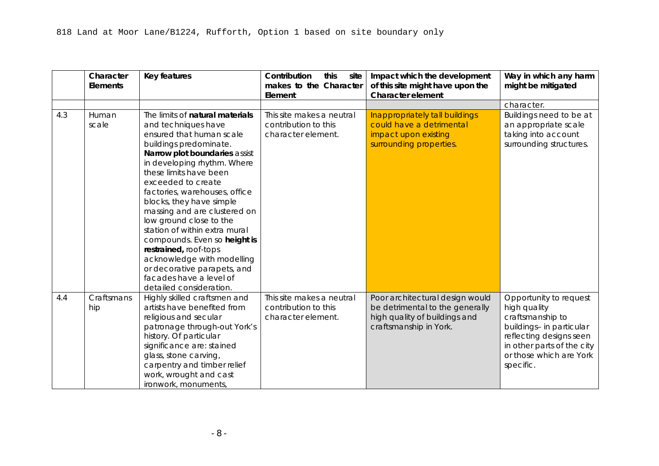### 4 Architectural character

|     | Character<br><b>Elements</b> | <b>Key features</b>                                                                                                                                                                                  | Contribution<br>this<br>site<br>makes to the Character<br>Element       | Impact which the development<br>of this site might have upon the<br><b>Character element</b>                                  | Way in which any harm<br>might be mitigated                                                                                                                                                                                                                                                                                                                                         |
|-----|------------------------------|------------------------------------------------------------------------------------------------------------------------------------------------------------------------------------------------------|-------------------------------------------------------------------------|-------------------------------------------------------------------------------------------------------------------------------|-------------------------------------------------------------------------------------------------------------------------------------------------------------------------------------------------------------------------------------------------------------------------------------------------------------------------------------------------------------------------------------|
| 4.1 | Architectur<br>al legacy     | Buildings representing two<br>thousand years of<br>architectural development in<br>close proximity to each<br>other.                                                                                 | This site makes a neutral<br>contribution to this<br>character element. | Poor architectural design would<br>be detrimental to the generally<br>high quality of buildings and<br>craftsmanship in York. | Opportunity to request<br>high quality design - in<br>particular reflecting<br>designs seen in other<br>parts of the city or<br>those which are York<br>specific.                                                                                                                                                                                                                   |
|     |                              |                                                                                                                                                                                                      |                                                                         |                                                                                                                               | Building types could be<br>innovative and<br>sympathetic to the<br>landscape context.                                                                                                                                                                                                                                                                                               |
| 4.2 | Variety                      | The fine grain of urban blocks<br>accommodates a<br>tremendous range of building<br>types from all ages. Few<br>streets have consistent<br>themes, though streets have<br>formed their own identity. | This site makes a neutral<br>contribution to this<br>character element. | Poorly designed buildings could<br>have a negative impact on the<br>city in general.                                          | Opportunity to create<br>well designed buildings<br>which could reflect<br>some existing<br>character while also<br>creating an<br>independent identity. If<br>correctly done, this<br>may have a positive<br>impact on the variety<br>of architectural<br>character in general.<br>Local distinctiveness<br>should be reinforced<br>where this makes a<br>positive contribution to |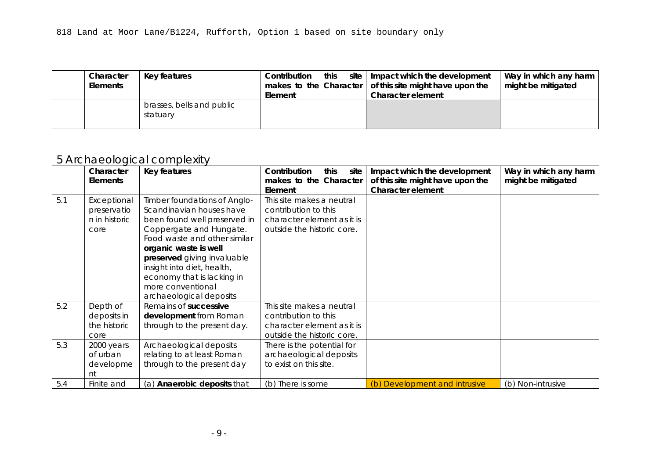|     | Character<br>Elements | Key features                                                                                                                                                                                                                                                                                                                                                                                                                                                                                                                                                      | Contribution<br>this<br>site<br>makes to the Character<br>Element       | Impact which the development<br>of this site might have upon the<br><b>Character element</b>                                  | Way in which any harm<br>might be mitigated                                                                                                                                             |
|-----|-----------------------|-------------------------------------------------------------------------------------------------------------------------------------------------------------------------------------------------------------------------------------------------------------------------------------------------------------------------------------------------------------------------------------------------------------------------------------------------------------------------------------------------------------------------------------------------------------------|-------------------------------------------------------------------------|-------------------------------------------------------------------------------------------------------------------------------|-----------------------------------------------------------------------------------------------------------------------------------------------------------------------------------------|
|     |                       |                                                                                                                                                                                                                                                                                                                                                                                                                                                                                                                                                                   |                                                                         |                                                                                                                               | character.                                                                                                                                                                              |
| 4.3 | Human<br>scale        | The limits of natural materials<br>and techniques have<br>ensured that human scale<br>buildings predominate.<br>Narrow plot boundaries assist<br>in developing rhythm. Where<br>these limits have been<br>exceeded to create<br>factories, warehouses, office<br>blocks, they have simple<br>massing and are clustered on<br>low ground close to the<br>station of within extra mural<br>compounds. Even so height is<br>restrained, roof-tops<br>acknowledge with modelling<br>or decorative parapets, and<br>facades have a level of<br>detailed consideration. | This site makes a neutral<br>contribution to this<br>character element. | Inappropriately tall buildings<br>could have a detrimental<br>impact upon existing<br>surrounding properties.                 | Buildings need to be at<br>an appropriate scale<br>taking into account<br>surrounding structures.                                                                                       |
| 4.4 | Craftsmans<br>hip     | Highly skilled craftsmen and<br>artists have benefited from<br>religious and secular<br>patronage through-out York's<br>history. Of particular<br>significance are: stained<br>glass, stone carving,<br>carpentry and timber relief<br>work, wrought and cast<br>ironwork, monuments,                                                                                                                                                                                                                                                                             | This site makes a neutral<br>contribution to this<br>character element. | Poor architectural design would<br>be detrimental to the generally<br>high quality of buildings and<br>craftsmanship in York. | Opportunity to request<br>high quality<br>craftsmanship to<br>buildings- in particular<br>reflecting designs seen<br>in other parts of the city<br>or those which are York<br>specific. |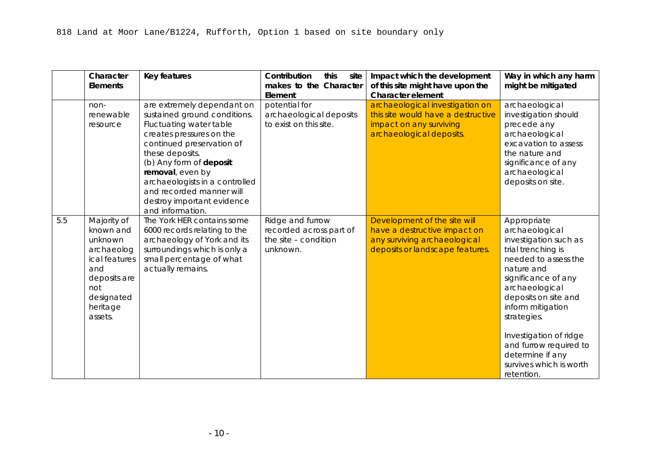| Character<br><b>Elements</b> | Key features                          | Contribution<br>this<br>Element | site   Impact which the development<br>makes to the Character of this site might have upon the<br>Character element | Way in which any harm<br>might be mitigated |
|------------------------------|---------------------------------------|---------------------------------|---------------------------------------------------------------------------------------------------------------------|---------------------------------------------|
|                              | brasses, bells and public<br>statuary |                                 |                                                                                                                     |                                             |

### 5 Archaeological complexity

|     | Character       | Key features                       | Contribution<br>this<br>site | Impact which the development     | Way in which any harm |
|-----|-----------------|------------------------------------|------------------------------|----------------------------------|-----------------------|
|     | <b>Elements</b> |                                    | makes to the Character       | of this site might have upon the | might be mitigated    |
|     |                 |                                    | Element                      | <b>Character element</b>         |                       |
| 5.1 | Exceptional     | Timber foundations of Anglo-       | This site makes a neutral    |                                  |                       |
|     | preservatio     | Scandinavian houses have           | contribution to this         |                                  |                       |
|     | n in historic   | been found well preserved in       | character element as it is   |                                  |                       |
|     | core            | Coppergate and Hungate.            | outside the historic core.   |                                  |                       |
|     |                 | Food waste and other similar       |                              |                                  |                       |
|     |                 | organic waste is well              |                              |                                  |                       |
|     |                 | preserved giving invaluable        |                              |                                  |                       |
|     |                 | insight into diet, health,         |                              |                                  |                       |
|     |                 | economy that is lacking in         |                              |                                  |                       |
|     |                 | more conventional                  |                              |                                  |                       |
|     |                 | archaeological deposits            |                              |                                  |                       |
| 5.2 | Depth of        | Remains of successive              | This site makes a neutral    |                                  |                       |
|     | deposits in     | development from Roman             | contribution to this         |                                  |                       |
|     | the historic    | through to the present day.        | character element as it is   |                                  |                       |
|     | core            |                                    | outside the historic core.   |                                  |                       |
| 5.3 | 2000 years      | Archaeological deposits            | There is the potential for   |                                  |                       |
|     | of urban        | relating to at least Roman         | archaeological deposits      |                                  |                       |
|     | developme       | through to the present day         | to exist on this site.       |                                  |                       |
|     | nt              |                                    |                              |                                  |                       |
| 5.4 | Finite and      | (a) <b>Anaerobic deposits</b> that | (b) There is some            | (b) Development and intrusive    | (b) Non-intrusive     |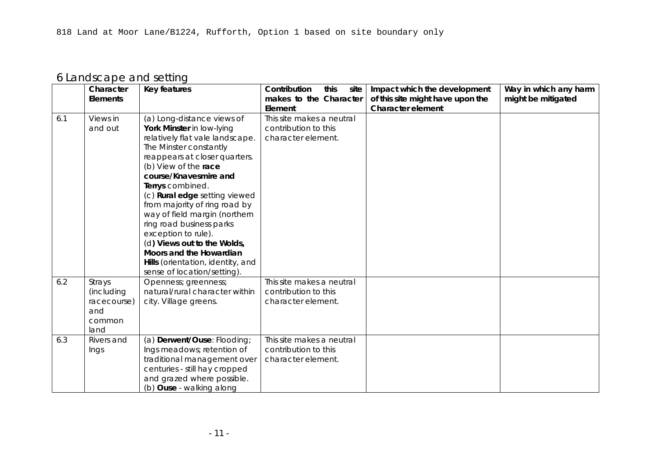|     | Character<br>Elements                                                                                                                 | <b>Key features</b>                                                                                                                                                                                                                                                                                                              | Contribution<br>this<br>site<br>makes to the Character<br>Element               | Impact which the development<br>of this site might have upon the<br><b>Character element</b>                                    | Way in which any harm<br>might be mitigated                                                                                                                                                                                                                                                                                              |
|-----|---------------------------------------------------------------------------------------------------------------------------------------|----------------------------------------------------------------------------------------------------------------------------------------------------------------------------------------------------------------------------------------------------------------------------------------------------------------------------------|---------------------------------------------------------------------------------|---------------------------------------------------------------------------------------------------------------------------------|------------------------------------------------------------------------------------------------------------------------------------------------------------------------------------------------------------------------------------------------------------------------------------------------------------------------------------------|
|     | non-<br>renewable<br>resource                                                                                                         | are extremely dependant on<br>sustained ground conditions.<br>Fluctuating water table<br>creates pressures on the<br>continued preservation of<br>these deposits.<br>(b) Any form of deposit<br>removal, even by<br>archaeologists in a controlled<br>and recorded manner will<br>destroy important evidence<br>and information. | potential for<br>archaeological deposits<br>to exist on this site.              | archaeological investigation on<br>this site would have a destructive<br>impact on any surviving<br>archaeological deposits.    | archaeological<br>investigation should<br>precede any<br>archaeological<br>excavation to assess<br>the nature and<br>significance of any<br>archaeological<br>deposits on site.                                                                                                                                                          |
| 5.5 | Majority of<br>known and<br>unknown<br>archaeolog<br>ical features<br>and<br>deposits are<br>not<br>designated<br>heritage<br>assets. | The York HER contains some<br>6000 records relating to the<br>archaeology of York and its<br>surroundings which is only a<br>small percentage of what<br>actually remains.                                                                                                                                                       | Ridge and furrow<br>recorded across part of<br>the site - condition<br>unknown. | Development of the site will<br>have a destructive impact on<br>any surviving archaeological<br>deposits or landscape features. | Appropriate<br>archaeological<br>investigation such as<br>trial trenching is<br>needed to assess the<br>nature and<br>significance of any<br>archaeological<br>deposits on site and<br>inform mitigation<br>strategies.<br>Investigation of ridge<br>and furrow required to<br>determine if any<br>survives which is worth<br>retention. |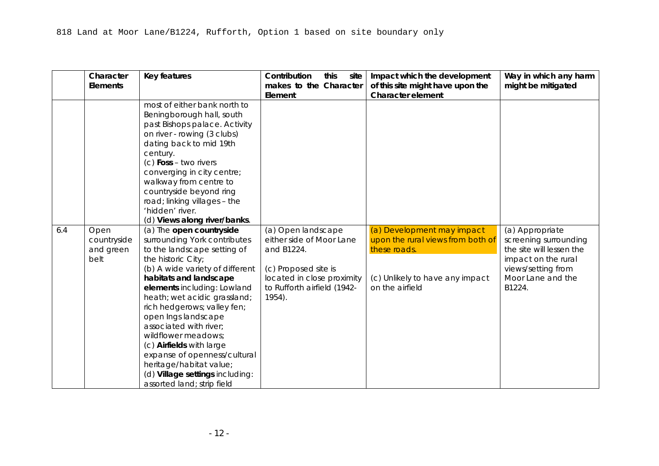| 6 Landscape and setting |
|-------------------------|
|-------------------------|

|     | Character<br><b>Elements</b> | Key features                      | Contribution<br>this<br>site<br>makes to the Character | Impact which the development<br>of this site might have upon the | Way in which any harm<br>might be mitigated |
|-----|------------------------------|-----------------------------------|--------------------------------------------------------|------------------------------------------------------------------|---------------------------------------------|
|     |                              |                                   | Element                                                | <b>Character element</b>                                         |                                             |
| 6.1 | Views in                     | (a) Long-distance views of        | This site makes a neutral                              |                                                                  |                                             |
|     | and out                      | York Minster in low-lying         | contribution to this                                   |                                                                  |                                             |
|     |                              | relatively flat vale landscape.   | character element.                                     |                                                                  |                                             |
|     |                              | The Minster constantly            |                                                        |                                                                  |                                             |
|     |                              | reappears at closer quarters.     |                                                        |                                                                  |                                             |
|     |                              | (b) View of the race              |                                                        |                                                                  |                                             |
|     |                              | course/Knavesmire and             |                                                        |                                                                  |                                             |
|     |                              | Terrys combined.                  |                                                        |                                                                  |                                             |
|     |                              | (c) Rural edge setting viewed     |                                                        |                                                                  |                                             |
|     |                              | from majority of ring road by     |                                                        |                                                                  |                                             |
|     |                              | way of field margin (northern     |                                                        |                                                                  |                                             |
|     |                              | ring road business parks          |                                                        |                                                                  |                                             |
|     |                              | exception to rule).               |                                                        |                                                                  |                                             |
|     |                              | (d) Views out to the Wolds,       |                                                        |                                                                  |                                             |
|     |                              | Moors and the Howardian           |                                                        |                                                                  |                                             |
|     |                              | Hills (orientation, identity, and |                                                        |                                                                  |                                             |
|     |                              | sense of location/setting).       |                                                        |                                                                  |                                             |
| 6.2 | Strays                       | Openness; greenness;              | This site makes a neutral                              |                                                                  |                                             |
|     | (including                   | natural/rural character within    | contribution to this                                   |                                                                  |                                             |
|     | racecourse)                  | city. Village greens.             | character element.                                     |                                                                  |                                             |
|     | and                          |                                   |                                                        |                                                                  |                                             |
|     | common                       |                                   |                                                        |                                                                  |                                             |
|     | land                         |                                   |                                                        |                                                                  |                                             |
| 6.3 | Rivers and                   | (a) Derwent/Ouse: Flooding;       | This site makes a neutral                              |                                                                  |                                             |
|     | Ings                         | Ings meadows; retention of        | contribution to this                                   |                                                                  |                                             |
|     |                              | traditional management over       | character element.                                     |                                                                  |                                             |
|     |                              | centuries - still hay cropped     |                                                        |                                                                  |                                             |
|     |                              | and grazed where possible.        |                                                        |                                                                  |                                             |
|     |                              | (b) Ouse - walking along          |                                                        |                                                                  |                                             |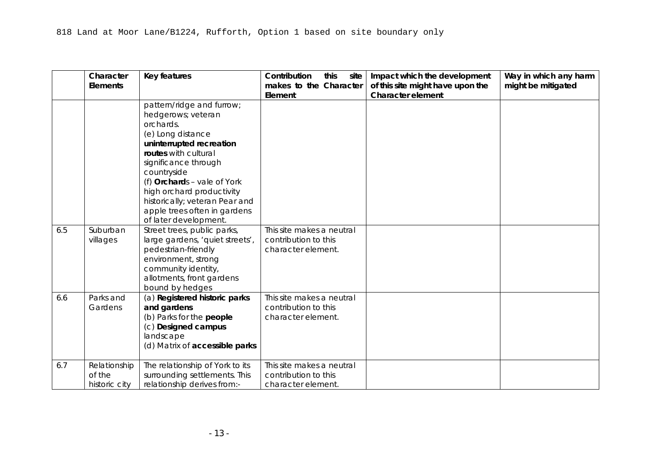|     | Character<br><b>Elements</b>             | <b>Key features</b>                                                                                                                                                                                                                                                                                                                                                                                                                                                                                      | Contribution<br>this<br>site<br>makes to the Character<br>Element                                                                                           | Impact which the development<br>of this site might have upon the<br><b>Character element</b>                                          | Way in which any harm<br>might be mitigated                                                                                                      |
|-----|------------------------------------------|----------------------------------------------------------------------------------------------------------------------------------------------------------------------------------------------------------------------------------------------------------------------------------------------------------------------------------------------------------------------------------------------------------------------------------------------------------------------------------------------------------|-------------------------------------------------------------------------------------------------------------------------------------------------------------|---------------------------------------------------------------------------------------------------------------------------------------|--------------------------------------------------------------------------------------------------------------------------------------------------|
|     |                                          | most of either bank north to<br>Beningborough hall, south<br>past Bishops palace. Activity<br>on river - rowing (3 clubs)<br>dating back to mid 19th<br>century.<br>$(c)$ Foss – two rivers<br>converging in city centre;<br>walkway from centre to<br>countryside beyond ring<br>road; linking villages - the<br>'hidden' river.<br>(d) Views along river/banks.                                                                                                                                        |                                                                                                                                                             |                                                                                                                                       |                                                                                                                                                  |
| 6.4 | Open<br>countryside<br>and green<br>belt | (a) The open countryside<br>surrounding York contributes<br>to the landscape setting of<br>the historic City;<br>(b) A wide variety of different<br>habitats and landscape<br>elements including: Lowland<br>heath; wet acidic grassland;<br>rich hedgerows; valley fen;<br>open Ings landscape<br>associated with river;<br>wildflower meadows;<br>(c) Airfields with large<br>expanse of openness/cultural<br>heritage/habitat value;<br>(d) Village settings including:<br>assorted land; strip field | (a) Open landscape<br>either side of Moor Lane<br>and B1224.<br>(c) Proposed site is<br>located in close proximity<br>to Rufforth airfield (1942-<br>1954). | (a) Development may impact<br>upon the rural views from both of<br>these roads.<br>(c) Unlikely to have any impact<br>on the airfield | (a) Appropriate<br>screening surrounding<br>the site will lessen the<br>impact on the rural<br>views/setting from<br>Moor Lane and the<br>B1224. |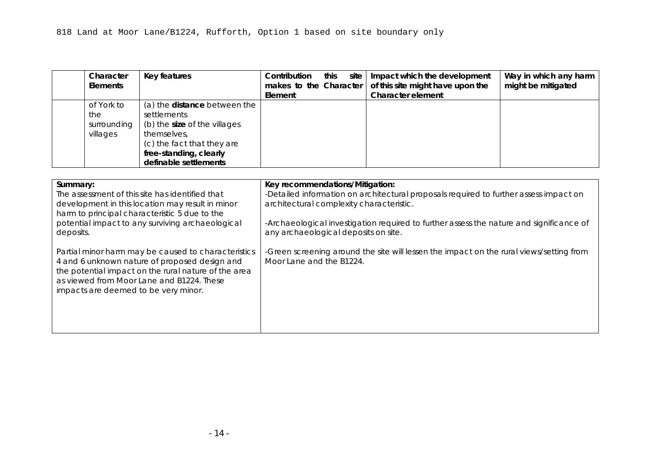|     | Character<br><b>Elements</b>            | <b>Key features</b>                                                                                                                                                                                                                                                                                        | Contribution<br>this<br>site<br>makes to the Character<br>Element       | Impact which the development<br>of this site might have upon the<br><b>Character element</b> | Way in which any harm<br>might be mitigated |
|-----|-----------------------------------------|------------------------------------------------------------------------------------------------------------------------------------------------------------------------------------------------------------------------------------------------------------------------------------------------------------|-------------------------------------------------------------------------|----------------------------------------------------------------------------------------------|---------------------------------------------|
|     |                                         | pattern/ridge and furrow;<br>hedgerows; veteran<br>orchards.<br>(e) Long distance<br>uninterrupted recreation<br>routes with cultural<br>significance through<br>countryside<br>(f) Orchards - vale of York<br>high orchard productivity<br>historically; veteran Pear and<br>apple trees often in gardens |                                                                         |                                                                                              |                                             |
| 6.5 | Suburban<br>villages                    | of later development.<br>Street trees, public parks,<br>large gardens, 'quiet streets',<br>pedestrian-friendly<br>environment, strong<br>community identity,<br>allotments, front gardens<br>bound by hedges                                                                                               | This site makes a neutral<br>contribution to this<br>character element. |                                                                                              |                                             |
| 6.6 | Parks and<br>Gardens                    | (a) Registered historic parks<br>and gardens<br>(b) Parks for the people<br>(c) Designed campus<br>landscape<br>(d) Matrix of accessible parks                                                                                                                                                             | This site makes a neutral<br>contribution to this<br>character element. |                                                                                              |                                             |
| 6.7 | Relationship<br>of the<br>historic city | The relationship of York to its<br>surrounding settlements. This<br>relationship derives from:-                                                                                                                                                                                                            | This site makes a neutral<br>contribution to this<br>character element. |                                                                                              |                                             |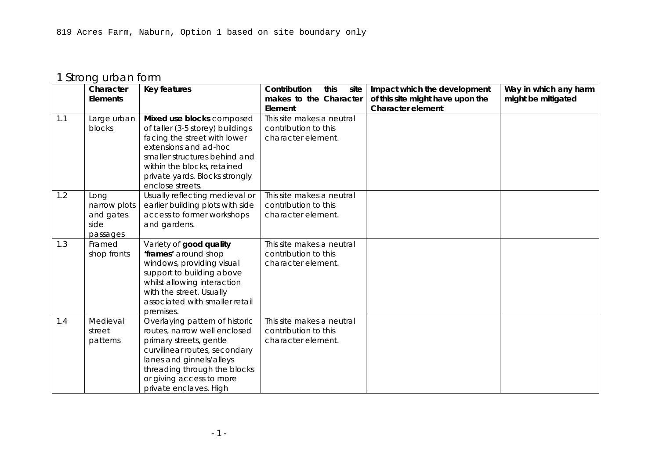| Character<br>Elements                        | Key features                                                                                                                                                                       | site  <br>Contribution<br>this<br>Element | Impact which the development<br>makes to the Character $\vert$ of this site might have upon the<br><b>Character element</b> | Way in which any harm<br>might be mitigated |
|----------------------------------------------|------------------------------------------------------------------------------------------------------------------------------------------------------------------------------------|-------------------------------------------|-----------------------------------------------------------------------------------------------------------------------------|---------------------------------------------|
| of York to<br>the<br>surrounding<br>villages | (a) the <b>distance</b> between the<br>settlements<br>(b) the size of the villages<br>themselves,<br>(c) the fact that they are<br>free-standing, clearly<br>definable settlements |                                           |                                                                                                                             |                                             |

| Summary:<br>The assessment of this site has identified that<br>development in this location may result in minor<br>harm to principal characteristic 5 due to the<br>potential impact to any surviving archaeological<br>deposits.                 | Key recommendations/Mitigation:<br>-Detailed information on architectural proposals required to further assess impact on<br>architectural complexity characteristic.<br>-Archaeological investigation required to further assess the nature and significance of<br>any archaeological deposits on site. |
|---------------------------------------------------------------------------------------------------------------------------------------------------------------------------------------------------------------------------------------------------|---------------------------------------------------------------------------------------------------------------------------------------------------------------------------------------------------------------------------------------------------------------------------------------------------------|
| Partial minor harm may be caused to characteristics<br>4 and 6 unknown nature of proposed design and<br>the potential impact on the rural nature of the area<br>as viewed from Moor Lane and B1224. These<br>impacts are deemed to be very minor. | -Green screening around the site will lessen the impact on the rural views/setting from<br>Moor Lane and the B1224.                                                                                                                                                                                     |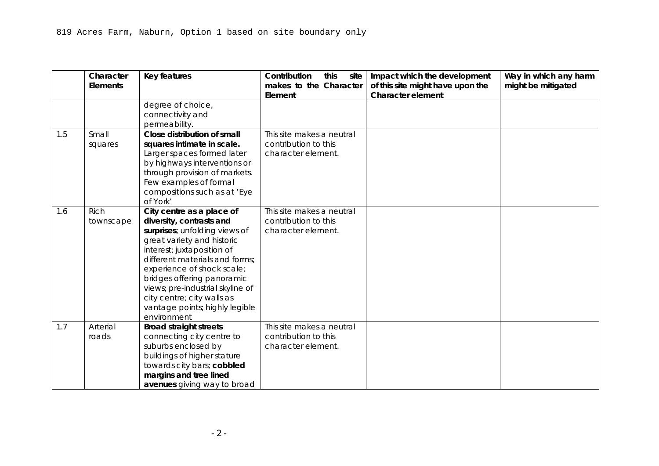# 1 Strong urban form

|     | Character    | <b>Key features</b>                         | this<br>Contribution<br>site      | Impact which the development                                 | Way in which any harm |
|-----|--------------|---------------------------------------------|-----------------------------------|--------------------------------------------------------------|-----------------------|
|     | Elements     |                                             | makes to the Character<br>Element | of this site might have upon the<br><b>Character element</b> | might be mitigated    |
| 1.1 | Large urban  | Mixed use blocks composed                   | This site makes a neutral         |                                                              |                       |
|     | blocks       | of taller (3-5 storey) buildings            | contribution to this              |                                                              |                       |
|     |              | facing the street with lower                | character element.                |                                                              |                       |
|     |              | extensions and ad-hoc                       |                                   |                                                              |                       |
|     |              | smaller structures behind and               |                                   |                                                              |                       |
|     |              | within the blocks, retained                 |                                   |                                                              |                       |
|     |              | private yards. Blocks strongly              |                                   |                                                              |                       |
|     |              | enclose streets.                            |                                   |                                                              |                       |
| 1.2 | Long         | Usually reflecting medieval or              | This site makes a neutral         |                                                              |                       |
|     | narrow plots | earlier building plots with side            | contribution to this              |                                                              |                       |
|     | and gates    | access to former workshops                  | character element.                |                                                              |                       |
|     | side         | and gardens.                                |                                   |                                                              |                       |
|     | passages     |                                             |                                   |                                                              |                       |
| 1.3 | Framed       | Variety of good quality                     | This site makes a neutral         |                                                              |                       |
|     | shop fronts  | 'frames' around shop                        | contribution to this              |                                                              |                       |
|     |              | windows, providing visual                   | character element.                |                                                              |                       |
|     |              | support to building above                   |                                   |                                                              |                       |
|     |              | whilst allowing interaction                 |                                   |                                                              |                       |
|     |              | with the street. Usually                    |                                   |                                                              |                       |
|     |              | associated with smaller retail              |                                   |                                                              |                       |
| 1.4 | Medieval     | premises.<br>Overlaying pattern of historic | This site makes a neutral         |                                                              |                       |
|     | street       | routes, narrow well enclosed                | contribution to this              |                                                              |                       |
|     | patterns     | primary streets, gentle                     | character element.                |                                                              |                       |
|     |              | curvilinear routes, secondary               |                                   |                                                              |                       |
|     |              | lanes and ginnels/alleys                    |                                   |                                                              |                       |
|     |              | threading through the blocks                |                                   |                                                              |                       |
|     |              | or giving access to more                    |                                   |                                                              |                       |
|     |              | private enclaves. High                      |                                   |                                                              |                       |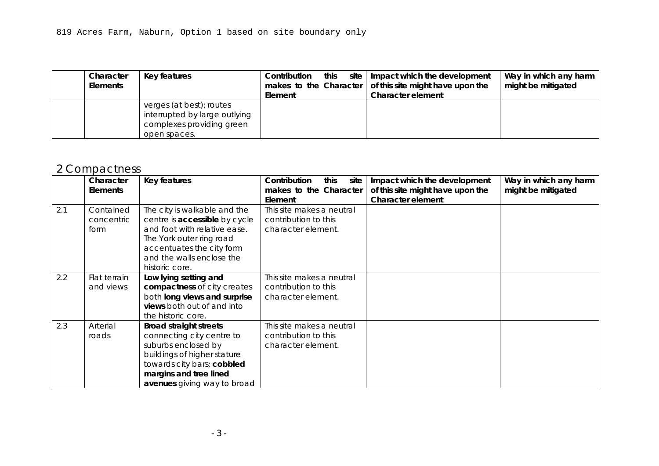|     | Character<br><b>Elements</b> | Key features                                                                                                                                                                                                                                                                                                                                                        | Contribution<br>this<br>site<br>makes to the Character<br>Element       | Impact which the development<br>of this site might have upon the<br><b>Character element</b> | Way in which any harm<br>might be mitigated |
|-----|------------------------------|---------------------------------------------------------------------------------------------------------------------------------------------------------------------------------------------------------------------------------------------------------------------------------------------------------------------------------------------------------------------|-------------------------------------------------------------------------|----------------------------------------------------------------------------------------------|---------------------------------------------|
|     |                              | degree of choice,<br>connectivity and<br>permeability.                                                                                                                                                                                                                                                                                                              |                                                                         |                                                                                              |                                             |
| 1.5 | Small<br>squares             | Close distribution of small<br>squares intimate in scale.<br>Larger spaces formed later<br>by highways interventions or<br>through provision of markets.<br>Few examples of formal<br>compositions such as at 'Eye<br>of York'                                                                                                                                      | This site makes a neutral<br>contribution to this<br>character element. |                                                                                              |                                             |
| 1.6 | <b>Rich</b><br>townscape     | City centre as a place of<br>diversity, contrasts and<br>surprises; unfolding views of<br>great variety and historic<br>interest; juxtaposition of<br>different materials and forms;<br>experience of shock scale;<br>bridges offering panoramic<br>views; pre-industrial skyline of<br>city centre; city walls as<br>vantage points; highly legible<br>environment | This site makes a neutral<br>contribution to this<br>character element. |                                                                                              |                                             |
| 1.7 | Arterial<br>roads            | <b>Broad straight streets</b><br>connecting city centre to<br>suburbs enclosed by<br>buildings of higher stature<br>towards city bars; cobbled<br>margins and tree lined<br>avenues giving way to broad                                                                                                                                                             | This site makes a neutral<br>contribution to this<br>character element. |                                                                                              |                                             |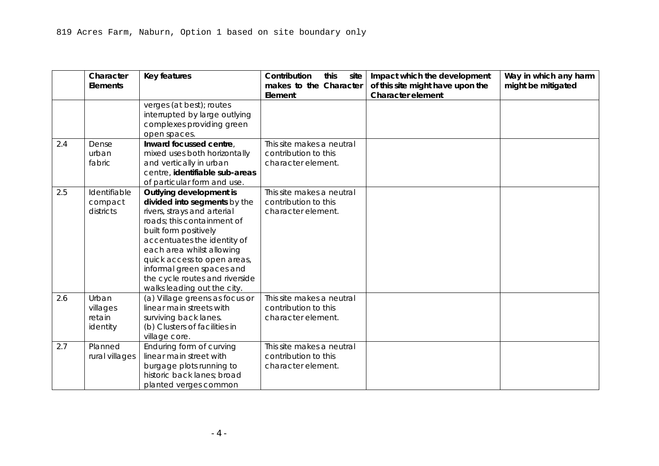| Character<br><b>Elements</b> | Key features |                                                                                        | Contribution<br>Element | this | Character element | site   Impact which the development<br>makes to the Character $\vert$ of this site might have upon the | Way in which any harm<br>might be mitigated |
|------------------------------|--------------|----------------------------------------------------------------------------------------|-------------------------|------|-------------------|--------------------------------------------------------------------------------------------------------|---------------------------------------------|
|                              | open spaces. | verges (at best); routes<br>interrupted by large outlying<br>complexes providing green |                         |      |                   |                                                                                                        |                                             |

# 2 Compactness

|     | Character       | Key features                  | Contribution<br>this<br>site | Impact which the development     | Way in which any harm |
|-----|-----------------|-------------------------------|------------------------------|----------------------------------|-----------------------|
|     | <b>Elements</b> |                               | makes to the Character       | of this site might have upon the | might be mitigated    |
|     |                 |                               | Element                      | <b>Character element</b>         |                       |
| 2.1 | Contained       | The city is walkable and the  | This site makes a neutral    |                                  |                       |
|     | concentric      | centre is accessible by cycle | contribution to this         |                                  |                       |
|     | form            | and foot with relative ease.  | character element.           |                                  |                       |
|     |                 | The York outer ring road      |                              |                                  |                       |
|     |                 | accentuates the city form     |                              |                                  |                       |
|     |                 | and the walls enclose the     |                              |                                  |                       |
|     |                 | historic core.                |                              |                                  |                       |
| 2.2 | Flat terrain    | Low lying setting and         | This site makes a neutral    |                                  |                       |
|     | and views       | compactness of city creates   | contribution to this         |                                  |                       |
|     |                 | both long views and surprise  | character element.           |                                  |                       |
|     |                 | views both out of and into    |                              |                                  |                       |
|     |                 | the historic core.            |                              |                                  |                       |
| 2.3 | Arterial        | <b>Broad straight streets</b> | This site makes a neutral    |                                  |                       |
|     | roads           | connecting city centre to     | contribution to this         |                                  |                       |
|     |                 | suburbs enclosed by           | character element.           |                                  |                       |
|     |                 | buildings of higher stature   |                              |                                  |                       |
|     |                 | towards city bars; cobbled    |                              |                                  |                       |
|     |                 | margins and tree lined        |                              |                                  |                       |
|     |                 | avenues giving way to broad   |                              |                                  |                       |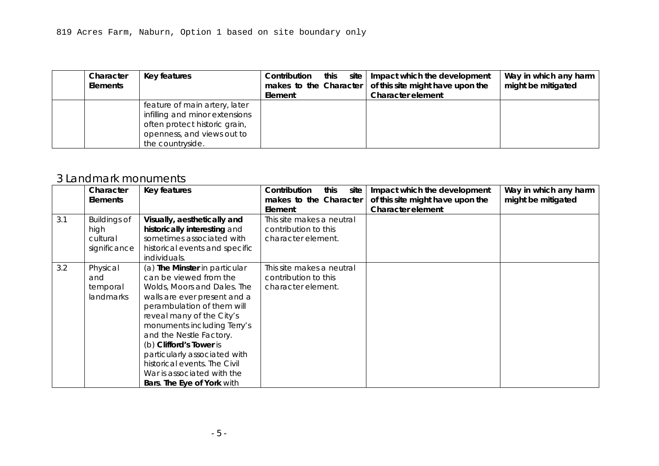|     | Character<br><b>Elements</b>            | Key features                                                                                                                                                                                                                                                                                                                           | Contribution<br>this<br>site<br>makes to the Character<br>Element       | Impact which the development<br>of this site might have upon the<br><b>Character element</b> | Way in which any harm<br>might be mitigated |
|-----|-----------------------------------------|----------------------------------------------------------------------------------------------------------------------------------------------------------------------------------------------------------------------------------------------------------------------------------------------------------------------------------------|-------------------------------------------------------------------------|----------------------------------------------------------------------------------------------|---------------------------------------------|
|     |                                         | verges (at best); routes<br>interrupted by large outlying<br>complexes providing green<br>open spaces.                                                                                                                                                                                                                                 |                                                                         |                                                                                              |                                             |
| 2.4 | Dense<br>urban<br>fabric                | Inward focussed centre,<br>mixed uses both horizontally<br>and vertically in urban<br>centre, identifiable sub-areas<br>of particular form and use.                                                                                                                                                                                    | This site makes a neutral<br>contribution to this<br>character element. |                                                                                              |                                             |
| 2.5 | Identifiable<br>compact<br>districts    | Outlying development is<br>divided into segments by the<br>rivers, strays and arterial<br>roads; this containment of<br>built form positively<br>accentuates the identity of<br>each area whilst allowing<br>quick access to open areas,<br>informal green spaces and<br>the cycle routes and riverside<br>walks leading out the city. | This site makes a neutral<br>contribution to this<br>character element. |                                                                                              |                                             |
| 2.6 | Urban<br>villages<br>retain<br>identity | (a) Village greens as focus or<br>linear main streets with<br>surviving back lanes.<br>(b) Clusters of facilities in<br>village core.                                                                                                                                                                                                  | This site makes a neutral<br>contribution to this<br>character element. |                                                                                              |                                             |
| 2.7 | Planned<br>rural villages               | Enduring form of curving<br>linear main street with<br>burgage plots running to<br>historic back lanes; broad<br>planted verges common                                                                                                                                                                                                 | This site makes a neutral<br>contribution to this<br>character element. |                                                                                              |                                             |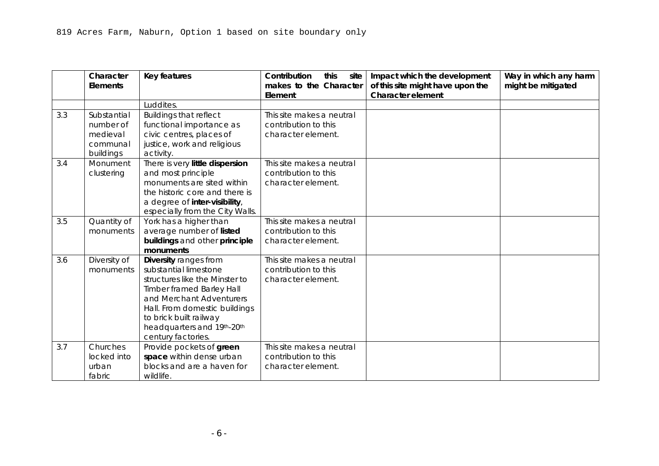| Character<br><b>Elements</b> | Key features                                                                                                                                       | Contribution<br>this<br>Element | site   Impact which the development<br>makes to the Character $\vert$ of this site might have upon the<br>Character element | Way in which any harm<br>might be mitigated |
|------------------------------|----------------------------------------------------------------------------------------------------------------------------------------------------|---------------------------------|-----------------------------------------------------------------------------------------------------------------------------|---------------------------------------------|
|                              | feature of main artery, later<br>infilling and minor extensions<br>often protect historic grain,<br>openness, and views out to<br>the countryside. |                                 |                                                                                                                             |                                             |

#### 3 Landmark monuments

|     | Character           | Key features                                              | Contribution<br>this<br>site | Impact which the development     | Way in which any harm |
|-----|---------------------|-----------------------------------------------------------|------------------------------|----------------------------------|-----------------------|
|     | <b>Elements</b>     |                                                           | makes to the Character       | of this site might have upon the | might be mitigated    |
|     |                     |                                                           | Element                      | Character element                |                       |
| 3.1 | <b>Buildings of</b> | Visually, aesthetically and                               | This site makes a neutral    |                                  |                       |
|     | high                | historically interesting and<br>sometimes associated with | contribution to this         |                                  |                       |
|     | cultural            |                                                           | character element.           |                                  |                       |
|     | significance        | historical events and specific                            |                              |                                  |                       |
|     |                     | individuals.                                              |                              |                                  |                       |
| 3.2 | Physical            | (a) The Minster in particular                             | This site makes a neutral    |                                  |                       |
|     | and                 | can be viewed from the                                    | contribution to this         |                                  |                       |
|     | temporal            | Wolds, Moors and Dales. The                               | character element.           |                                  |                       |
|     | landmarks           | walls are ever present and a                              |                              |                                  |                       |
|     |                     | perambulation of them will                                |                              |                                  |                       |
|     |                     | reveal many of the City's                                 |                              |                                  |                       |
|     |                     | monuments including Terry's                               |                              |                                  |                       |
|     |                     | and the Nestle Factory.                                   |                              |                                  |                       |
|     |                     | (b) Clifford's Tower is                                   |                              |                                  |                       |
|     |                     | particularly associated with                              |                              |                                  |                       |
|     |                     | historical events. The Civil                              |                              |                                  |                       |
|     |                     | War is associated with the                                |                              |                                  |                       |
|     |                     | Bars. The Eye of York with                                |                              |                                  |                       |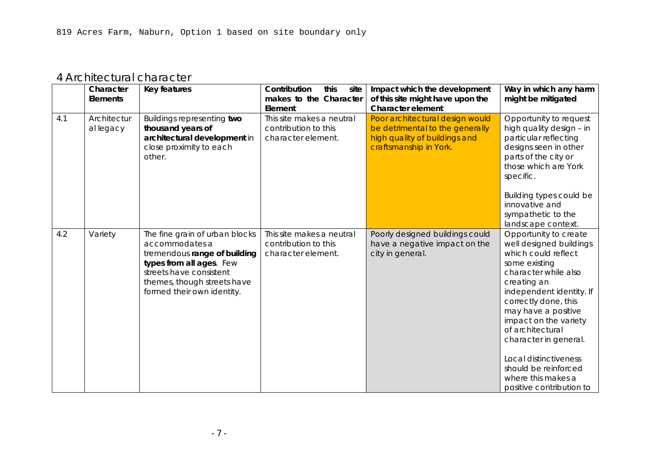|     | Character<br><b>Elements</b> | <b>Key features</b>             | Contribution<br>this<br>site<br>makes to the Character | Impact which the development<br>of this site might have upon the | Way in which any harm<br>might be mitigated |
|-----|------------------------------|---------------------------------|--------------------------------------------------------|------------------------------------------------------------------|---------------------------------------------|
|     |                              |                                 | Element                                                | <b>Character element</b>                                         |                                             |
|     |                              | Luddites.                       |                                                        |                                                                  |                                             |
| 3.3 | Substantial                  | <b>Buildings that reflect</b>   | This site makes a neutral                              |                                                                  |                                             |
|     | number of                    | functional importance as        | contribution to this                                   |                                                                  |                                             |
|     | medieval                     | civic centres, places of        | character element.                                     |                                                                  |                                             |
|     | communal                     | justice, work and religious     |                                                        |                                                                  |                                             |
|     | buildings                    | activity.                       |                                                        |                                                                  |                                             |
| 3.4 | Monument                     | There is very little dispersion | This site makes a neutral                              |                                                                  |                                             |
|     | clustering                   | and most principle              | contribution to this                                   |                                                                  |                                             |
|     |                              | monuments are sited within      | character element.                                     |                                                                  |                                             |
|     |                              | the historic core and there is  |                                                        |                                                                  |                                             |
|     |                              | a degree of inter-visibility,   |                                                        |                                                                  |                                             |
|     |                              | especially from the City Walls. |                                                        |                                                                  |                                             |
| 3.5 | Quantity of                  | York has a higher than          | This site makes a neutral                              |                                                                  |                                             |
|     | monuments                    | average number of listed        | contribution to this                                   |                                                                  |                                             |
|     |                              | buildings and other principle   | character element.                                     |                                                                  |                                             |
|     |                              | monuments                       |                                                        |                                                                  |                                             |
| 3.6 | Diversity of                 | Diversity ranges from           | This site makes a neutral                              |                                                                  |                                             |
|     | monuments                    | substantial limestone           | contribution to this                                   |                                                                  |                                             |
|     |                              | structures like the Minster to  | character element.                                     |                                                                  |                                             |
|     |                              | Timber framed Barley Hall       |                                                        |                                                                  |                                             |
|     |                              | and Merchant Adventurers        |                                                        |                                                                  |                                             |
|     |                              | Hall. From domestic buildings   |                                                        |                                                                  |                                             |
|     |                              | to brick built railway          |                                                        |                                                                  |                                             |
|     |                              | headquarters and 19th-20th      |                                                        |                                                                  |                                             |
|     |                              | century factories.              |                                                        |                                                                  |                                             |
| 3.7 | Churches                     | Provide pockets of green        | This site makes a neutral                              |                                                                  |                                             |
|     | locked into                  | space within dense urban        | contribution to this                                   |                                                                  |                                             |
|     | urban                        | blocks and are a haven for      | character element.                                     |                                                                  |                                             |
|     | fabric                       | wildlife.                       |                                                        |                                                                  |                                             |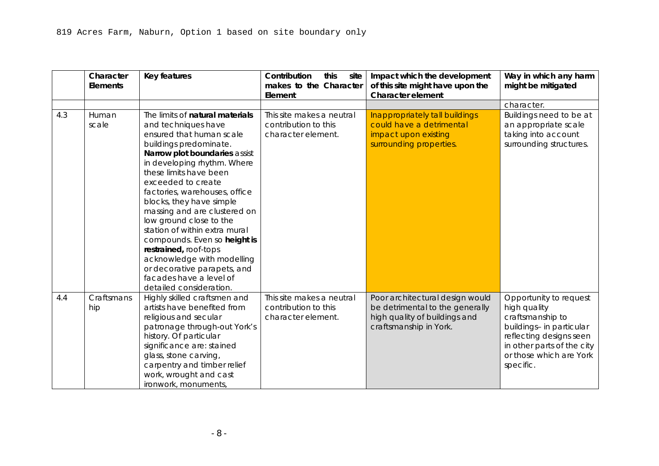### 4 Architectural character

|     | Character<br>Elements    | <b>Key features</b>                                                                                                                                                                                  | Contribution<br>this<br>site<br>makes to the Character<br>Element       | Impact which the development<br>of this site might have upon the<br><b>Character element</b>                                  | Way in which any harm<br>might be mitigated                                                                                                                                                                                                                                                                                                                                         |
|-----|--------------------------|------------------------------------------------------------------------------------------------------------------------------------------------------------------------------------------------------|-------------------------------------------------------------------------|-------------------------------------------------------------------------------------------------------------------------------|-------------------------------------------------------------------------------------------------------------------------------------------------------------------------------------------------------------------------------------------------------------------------------------------------------------------------------------------------------------------------------------|
| 4.1 | Architectur<br>al legacy | Buildings representing two<br>thousand years of<br>architectural development in<br>close proximity to each<br>other.                                                                                 | This site makes a neutral<br>contribution to this<br>character element. | Poor architectural design would<br>be detrimental to the generally<br>high quality of buildings and<br>craftsmanship in York. | Opportunity to request<br>high quality design - in<br>particular reflecting<br>designs seen in other<br>parts of the city or<br>those which are York<br>specific.<br>Building types could be<br>innovative and<br>sympathetic to the<br>landscape context.                                                                                                                          |
| 4.2 | Variety                  | The fine grain of urban blocks<br>accommodates a<br>tremendous range of building<br>types from all ages. Few<br>streets have consistent<br>themes, though streets have<br>formed their own identity. | This site makes a neutral<br>contribution to this<br>character element. | Poorly designed buildings could<br>have a negative impact on the<br>city in general.                                          | Opportunity to create<br>well designed buildings<br>which could reflect<br>some existing<br>character while also<br>creating an<br>independent identity. If<br>correctly done, this<br>may have a positive<br>impact on the variety<br>of architectural<br>character in general.<br>Local distinctiveness<br>should be reinforced<br>where this makes a<br>positive contribution to |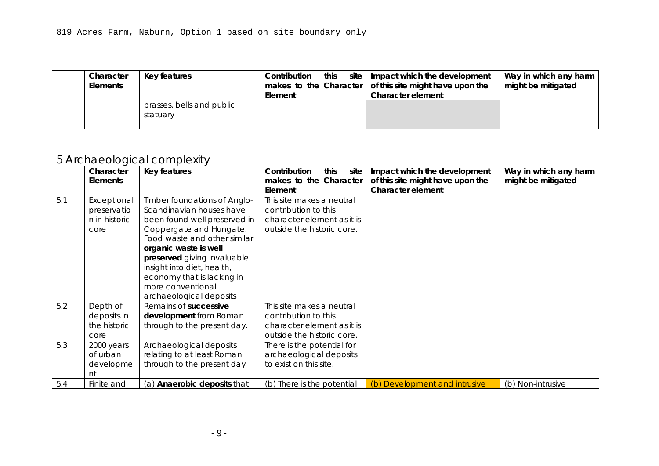|     | Character<br><b>Elements</b> | <b>Key features</b>                                                                                                                                                                                                                                                                                                                                                                                                                                                                                                                                               | Contribution<br>this<br>site<br>makes to the Character<br>Element       | Impact which the development<br>of this site might have upon the<br><b>Character element</b>                                  | Way in which any harm<br>might be mitigated                                                                                                                                             |
|-----|------------------------------|-------------------------------------------------------------------------------------------------------------------------------------------------------------------------------------------------------------------------------------------------------------------------------------------------------------------------------------------------------------------------------------------------------------------------------------------------------------------------------------------------------------------------------------------------------------------|-------------------------------------------------------------------------|-------------------------------------------------------------------------------------------------------------------------------|-----------------------------------------------------------------------------------------------------------------------------------------------------------------------------------------|
|     |                              |                                                                                                                                                                                                                                                                                                                                                                                                                                                                                                                                                                   |                                                                         |                                                                                                                               | character.                                                                                                                                                                              |
| 4.3 | Human<br>scale               | The limits of natural materials<br>and techniques have<br>ensured that human scale<br>buildings predominate.<br>Narrow plot boundaries assist<br>in developing rhythm. Where<br>these limits have been<br>exceeded to create<br>factories, warehouses, office<br>blocks, they have simple<br>massing and are clustered on<br>low ground close to the<br>station of within extra mural<br>compounds. Even so height is<br>restrained, roof-tops<br>acknowledge with modelling<br>or decorative parapets, and<br>facades have a level of<br>detailed consideration. | This site makes a neutral<br>contribution to this<br>character element. | Inappropriately tall buildings<br>could have a detrimental<br>impact upon existing<br>surrounding properties.                 | Buildings need to be at<br>an appropriate scale<br>taking into account<br>surrounding structures.                                                                                       |
| 4.4 | Craftsmans<br>hip            | Highly skilled craftsmen and<br>artists have benefited from<br>religious and secular<br>patronage through-out York's<br>history. Of particular<br>significance are: stained<br>glass, stone carving,<br>carpentry and timber relief<br>work, wrought and cast<br>ironwork, monuments,                                                                                                                                                                                                                                                                             | This site makes a neutral<br>contribution to this<br>character element. | Poor architectural design would<br>be detrimental to the generally<br>high quality of buildings and<br>craftsmanship in York. | Opportunity to request<br>high quality<br>craftsmanship to<br>buildings- in particular<br>reflecting designs seen<br>in other parts of the city<br>or those which are York<br>specific. |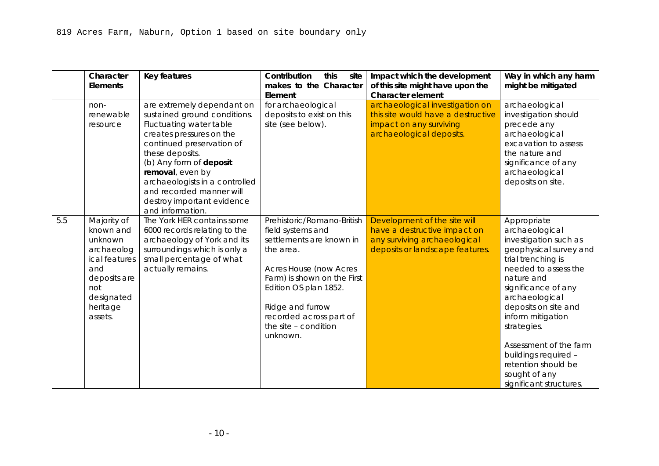| Character<br><b>Elements</b> | Key features                          | Contribution<br>this<br>Element | site   Impact which the development<br>makes to the Character $\vert$ of this site might have upon the<br>Character element | Way in which any harm<br>might be mitigated |
|------------------------------|---------------------------------------|---------------------------------|-----------------------------------------------------------------------------------------------------------------------------|---------------------------------------------|
|                              | brasses, bells and public<br>statuary |                                 |                                                                                                                             |                                             |

# 5 Archaeological complexity

|     | Character       | Key features                       | Contribution<br>this<br>site | Impact which the development     | Way in which any harm |
|-----|-----------------|------------------------------------|------------------------------|----------------------------------|-----------------------|
|     | <b>Elements</b> |                                    | makes to the Character       | of this site might have upon the | might be mitigated    |
|     |                 |                                    | Element                      | <b>Character element</b>         |                       |
| 5.1 | Exceptional     | Timber foundations of Anglo-       | This site makes a neutral    |                                  |                       |
|     | preservatio     | Scandinavian houses have           | contribution to this         |                                  |                       |
|     | n in historic   | been found well preserved in       | character element as it is   |                                  |                       |
|     | core            | Coppergate and Hungate.            | outside the historic core.   |                                  |                       |
|     |                 | Food waste and other similar       |                              |                                  |                       |
|     |                 | organic waste is well              |                              |                                  |                       |
|     |                 | preserved giving invaluable        |                              |                                  |                       |
|     |                 | insight into diet, health,         |                              |                                  |                       |
|     |                 | economy that is lacking in         |                              |                                  |                       |
|     |                 | more conventional                  |                              |                                  |                       |
|     |                 | archaeological deposits            |                              |                                  |                       |
| 5.2 | Depth of        | Remains of successive              | This site makes a neutral    |                                  |                       |
|     | deposits in     | development from Roman             | contribution to this         |                                  |                       |
|     | the historic    | through to the present day.        | character element as it is   |                                  |                       |
|     | core            |                                    | outside the historic core.   |                                  |                       |
| 5.3 | 2000 years      | Archaeological deposits            | There is the potential for   |                                  |                       |
|     | of urban        | relating to at least Roman         | archaeological deposits      |                                  |                       |
|     | developme       | through to the present day         | to exist on this site.       |                                  |                       |
|     | nt              |                                    |                              |                                  |                       |
| 5.4 | Finite and      | (a) <b>Anaerobic deposits</b> that | (b) There is the potential   | (b) Development and intrusive    | (b) Non-intrusive     |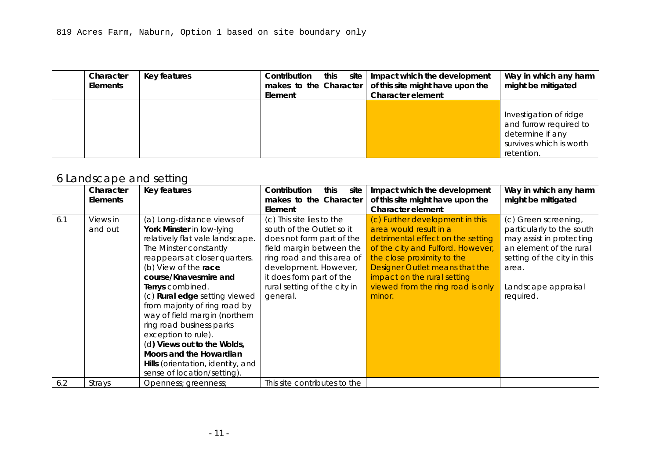|     | Character<br><b>Elements</b>                                                                                                          | <b>Key features</b>                                                                                                                                                                                                                                                                                                              | Contribution<br>this<br>site<br>makes to the Character<br>Element                                                                                                                                                                                                    | Impact which the development<br>of this site might have upon the<br><b>Character element</b>                                    | Way in which any harm<br>might be mitigated                                                                                                                                                                                                                                                                                                                            |
|-----|---------------------------------------------------------------------------------------------------------------------------------------|----------------------------------------------------------------------------------------------------------------------------------------------------------------------------------------------------------------------------------------------------------------------------------------------------------------------------------|----------------------------------------------------------------------------------------------------------------------------------------------------------------------------------------------------------------------------------------------------------------------|---------------------------------------------------------------------------------------------------------------------------------|------------------------------------------------------------------------------------------------------------------------------------------------------------------------------------------------------------------------------------------------------------------------------------------------------------------------------------------------------------------------|
|     | non-<br>renewable<br>resource                                                                                                         | are extremely dependant on<br>sustained ground conditions.<br>Fluctuating water table<br>creates pressures on the<br>continued preservation of<br>these deposits.<br>(b) Any form of deposit<br>removal, even by<br>archaeologists in a controlled<br>and recorded manner will<br>destroy important evidence<br>and information. | for archaeological<br>deposits to exist on this<br>site (see below).                                                                                                                                                                                                 | archaeological investigation on<br>this site would have a destructive<br>impact on any surviving<br>archaeological deposits.    | archaeological<br>investigation should<br>precede any<br>archaeological<br>excavation to assess<br>the nature and<br>significance of any<br>archaeological<br>deposits on site.                                                                                                                                                                                        |
| 5.5 | Majority of<br>known and<br>unknown<br>archaeolog<br>ical features<br>and<br>deposits are<br>not<br>designated<br>heritage<br>assets. | The York HER contains some<br>6000 records relating to the<br>archaeology of York and its<br>surroundings which is only a<br>small percentage of what<br>actually remains.                                                                                                                                                       | Prehistoric/Romano-British<br>field systems and<br>settlements are known in<br>the area.<br><b>Acres House (now Acres</b><br>Farm) is shown on the First<br>Edition OS plan 1852.<br>Ridge and furrow<br>recorded across part of<br>the site - condition<br>unknown. | Development of the site will<br>have a destructive impact on<br>any surviving archaeological<br>deposits or landscape features. | Appropriate<br>archaeological<br>investigation such as<br>geophysical survey and<br>trial trenching is<br>needed to assess the<br>nature and<br>significance of any<br>archaeological<br>deposits on site and<br>inform mitigation<br>strategies.<br>Assessment of the farm<br>buildings required -<br>retention should be<br>sought of any<br>significant structures. |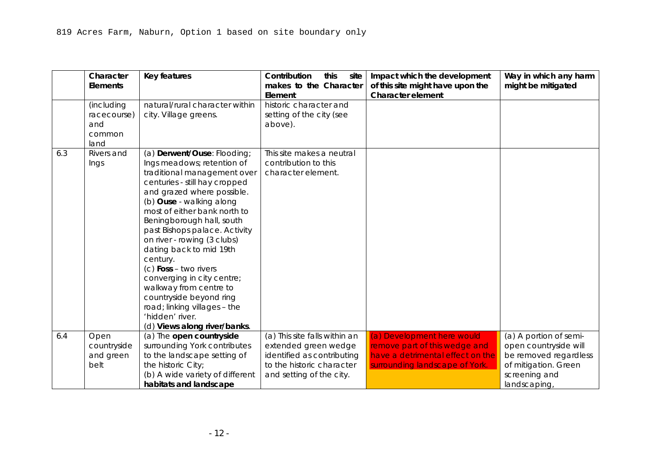| Character<br><b>Elements</b> | Key features | Contribution<br>this<br>Element | site   Impact which the development<br>makes to the Character $\vert$ of this site might have upon the<br><b>Character element</b> | Way in which any harm<br>might be mitigated                                                                   |
|------------------------------|--------------|---------------------------------|------------------------------------------------------------------------------------------------------------------------------------|---------------------------------------------------------------------------------------------------------------|
|                              |              |                                 |                                                                                                                                    | Investigation of ridge<br>and furrow required to<br>determine if any<br>survives which is worth<br>retention. |

# 6 Landscape and setting

|     | Character       | Key features                         | Contribution<br>this<br>site | Impact which the development      | Way in which any harm       |
|-----|-----------------|--------------------------------------|------------------------------|-----------------------------------|-----------------------------|
|     | <b>Elements</b> |                                      | makes to the Character       | of this site might have upon the  | might be mitigated          |
|     |                 |                                      | Element                      | Character element                 |                             |
| 6.1 | Views in        | (a) Long-distance views of           | (c) This site lies to the    | (c) Further development in this   | (c) Green screening,        |
|     | and out         | York Minster in low-lying            | south of the Outlet so it    | area would result in a            | particularly to the south   |
|     |                 | relatively flat vale landscape.      | does not form part of the    | detrimental effect on the setting | may assist in protecting    |
|     |                 | The Minster constantly               | field margin between the     | of the city and Fulford. However, | an element of the rural     |
|     |                 | reappears at closer quarters.        | ring road and this area of   | the close proximity to the        | setting of the city in this |
|     |                 | (b) View of the race                 | development. However,        | Designer Outlet means that the    | area.                       |
|     |                 | course/Knavesmire and                | it does form part of the     | impact on the rural setting       |                             |
|     |                 | Terrys combined.                     | rural setting of the city in | viewed from the ring road is only | Landscape appraisal         |
|     |                 | (c) <b>Rural edge</b> setting viewed | general.                     | minor.                            | required.                   |
|     |                 | from majority of ring road by        |                              |                                   |                             |
|     |                 | way of field margin (northern        |                              |                                   |                             |
|     |                 | ring road business parks             |                              |                                   |                             |
|     |                 | exception to rule).                  |                              |                                   |                             |
|     |                 | (d) Views out to the Wolds,          |                              |                                   |                             |
|     |                 | Moors and the Howardian              |                              |                                   |                             |
|     |                 | Hills (orientation, identity, and    |                              |                                   |                             |
|     |                 | sense of location/setting).          |                              |                                   |                             |
| 6.2 | Strays          | Openness; greenness;                 | This site contributes to the |                                   |                             |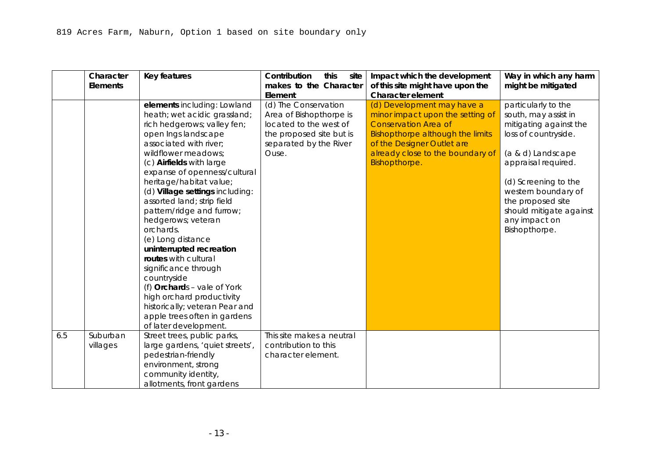|     | Character<br><b>Elements</b>                       | <b>Key features</b>                                                                                                                                                                                                                                                                                                                                                                                                                                                                                                                                      | Contribution<br>this<br>site<br>makes to the Character<br>Element       | Impact which the development<br>of this site might have upon the<br><b>Character element</b> | Way in which any harm<br>might be mitigated    |
|-----|----------------------------------------------------|----------------------------------------------------------------------------------------------------------------------------------------------------------------------------------------------------------------------------------------------------------------------------------------------------------------------------------------------------------------------------------------------------------------------------------------------------------------------------------------------------------------------------------------------------------|-------------------------------------------------------------------------|----------------------------------------------------------------------------------------------|------------------------------------------------|
|     | (including<br>racecourse)<br>and<br>common<br>land | natural/rural character within<br>city. Village greens.                                                                                                                                                                                                                                                                                                                                                                                                                                                                                                  | historic character and<br>setting of the city (see<br>above).           |                                                                                              |                                                |
| 6.3 | Rivers and<br>Ings                                 | (a) Derwent/Ouse: Flooding;<br>Ings meadows; retention of<br>traditional management over<br>centuries - still hay cropped<br>and grazed where possible.<br>(b) Ouse - walking along<br>most of either bank north to<br>Beningborough hall, south<br>past Bishops palace. Activity<br>on river - rowing (3 clubs)<br>dating back to mid 19th<br>century.<br>$(c)$ Foss - two rivers<br>converging in city centre;<br>walkway from centre to<br>countryside beyond ring<br>road; linking villages - the<br>'hidden' river.<br>(d) Views along river/banks. | This site makes a neutral<br>contribution to this<br>character element. |                                                                                              |                                                |
| 6.4 | Open                                               | (a) The open countryside                                                                                                                                                                                                                                                                                                                                                                                                                                                                                                                                 | (a) This site falls within an                                           | (a) Development here would                                                                   | (a) A portion of semi-                         |
|     | countryside<br>and green                           | surrounding York contributes<br>to the landscape setting of                                                                                                                                                                                                                                                                                                                                                                                                                                                                                              | extended green wedge<br>identified as contributing                      | remove part of this wedge and<br>have a detrimental effect on the                            | open countryside will<br>be removed regardless |
|     | belt                                               | the historic City;<br>(b) A wide variety of different                                                                                                                                                                                                                                                                                                                                                                                                                                                                                                    | to the historic character<br>and setting of the city.                   | surrounding landscape of York.                                                               | of mitigation. Green<br>screening and          |
|     |                                                    | habitats and landscape                                                                                                                                                                                                                                                                                                                                                                                                                                                                                                                                   |                                                                         |                                                                                              | landscaping,                                   |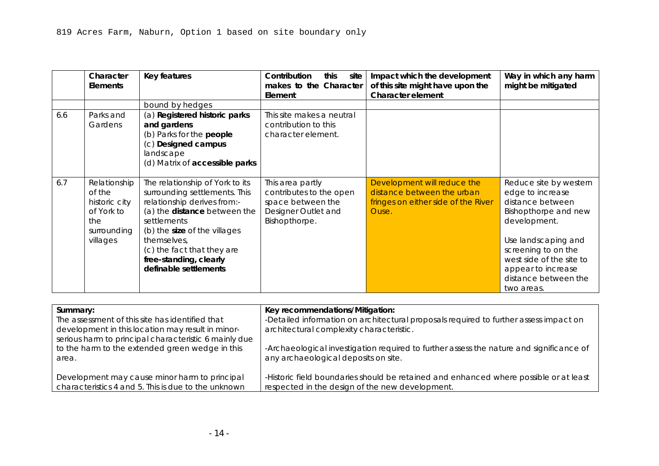|     | Character<br><b>Elements</b> | Key features                    | Contribution<br>this<br>site<br>makes to the Character | Impact which the development<br>of this site might have upon the | Way in which any harm<br>might be mitigated |
|-----|------------------------------|---------------------------------|--------------------------------------------------------|------------------------------------------------------------------|---------------------------------------------|
|     |                              |                                 | Element                                                | <b>Character element</b>                                         |                                             |
|     |                              | elements including: Lowland     | (d) The Conservation                                   | (d) Development may have a                                       | particularly to the                         |
|     |                              | heath; wet acidic grassland;    | Area of Bishopthorpe is                                | minor impact upon the setting of                                 | south, may assist in                        |
|     |                              | rich hedgerows; valley fen;     | located to the west of                                 | <b>Conservation Area of</b>                                      | mitigating against the                      |
|     |                              | open Ings landscape             | the proposed site but is                               | Bishopthorpe although the limits                                 | loss of countryside.                        |
|     |                              | associated with river;          | separated by the River                                 | of the Designer Outlet are                                       |                                             |
|     |                              | wildflower meadows;             | Ouse.                                                  | already close to the boundary of                                 | (a & d) Landscape                           |
|     |                              | (c) Airfields with large        |                                                        | Bishopthorpe.                                                    | appraisal required.                         |
|     |                              | expanse of openness/cultural    |                                                        |                                                                  |                                             |
|     |                              | heritage/habitat value;         |                                                        |                                                                  | (d) Screening to the                        |
|     |                              | (d) Village settings including: |                                                        |                                                                  | western boundary of                         |
|     |                              | assorted land; strip field      |                                                        |                                                                  | the proposed site                           |
|     |                              | pattern/ridge and furrow;       |                                                        |                                                                  | should mitigate against                     |
|     |                              | hedgerows; veteran              |                                                        |                                                                  | any impact on                               |
|     |                              | orchards.                       |                                                        |                                                                  | Bishopthorpe.                               |
|     |                              | (e) Long distance               |                                                        |                                                                  |                                             |
|     |                              | uninterrupted recreation        |                                                        |                                                                  |                                             |
|     |                              | routes with cultural            |                                                        |                                                                  |                                             |
|     |                              | significance through            |                                                        |                                                                  |                                             |
|     |                              | countryside                     |                                                        |                                                                  |                                             |
|     |                              | (f) Orchards - vale of York     |                                                        |                                                                  |                                             |
|     |                              | high orchard productivity       |                                                        |                                                                  |                                             |
|     |                              | historically; veteran Pear and  |                                                        |                                                                  |                                             |
|     |                              | apple trees often in gardens    |                                                        |                                                                  |                                             |
|     |                              | of later development.           |                                                        |                                                                  |                                             |
| 6.5 | Suburban                     | Street trees, public parks,     | This site makes a neutral                              |                                                                  |                                             |
|     | villages                     | large gardens, 'quiet streets', | contribution to this                                   |                                                                  |                                             |
|     |                              | pedestrian-friendly             | character element.                                     |                                                                  |                                             |
|     |                              | environment, strong             |                                                        |                                                                  |                                             |
|     |                              | community identity,             |                                                        |                                                                  |                                             |
|     |                              | allotments, front gardens       |                                                        |                                                                  |                                             |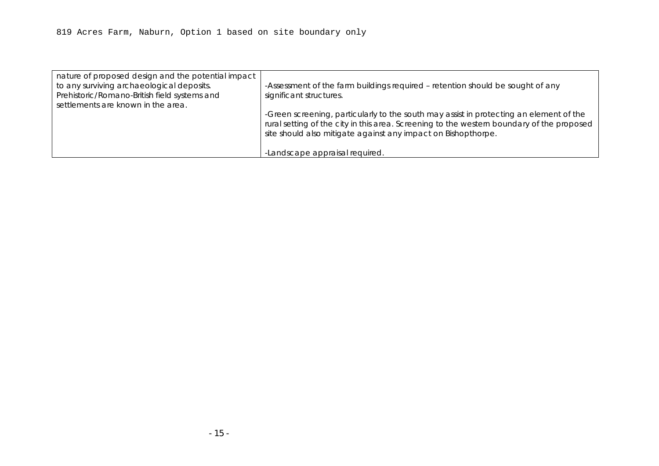|     | Character<br><b>Elements</b>                                                            | Key features                                                                                                                                                                                                                                                                   | Contribution<br>this<br>site<br>makes to the Character<br>Element                                        | Impact which the development<br>of this site might have upon the<br><b>Character element</b>              | Way in which any harm<br>might be mitigated                                                                                                                                                                                                  |
|-----|-----------------------------------------------------------------------------------------|--------------------------------------------------------------------------------------------------------------------------------------------------------------------------------------------------------------------------------------------------------------------------------|----------------------------------------------------------------------------------------------------------|-----------------------------------------------------------------------------------------------------------|----------------------------------------------------------------------------------------------------------------------------------------------------------------------------------------------------------------------------------------------|
| 6.6 | Parks and                                                                               | bound by hedges<br>(a) Registered historic parks                                                                                                                                                                                                                               | This site makes a neutral                                                                                |                                                                                                           |                                                                                                                                                                                                                                              |
|     | Gardens                                                                                 | and gardens<br>(b) Parks for the <b>people</b><br>(c) Designed campus<br>landscape<br>(d) Matrix of accessible parks                                                                                                                                                           | contribution to this<br>character element.                                                               |                                                                                                           |                                                                                                                                                                                                                                              |
| 6.7 | Relationship<br>of the<br>historic city<br>of York to<br>the<br>surrounding<br>villages | The relationship of York to its<br>surrounding settlements. This<br>relationship derives from:-<br>(a) the distance between the<br>settlements<br>(b) the size of the villages<br>themselves,<br>(c) the fact that they are<br>free-standing, clearly<br>definable settlements | This area partly<br>contributes to the open<br>space between the<br>Designer Outlet and<br>Bishopthorpe. | Development will reduce the<br>distance between the urban<br>fringes on either side of the River<br>Ouse. | Reduce site by western<br>edge to increase<br>distance between<br>Bishopthorpe and new<br>development.<br>Use landscaping and<br>screening to on the<br>west side of the site to<br>appear to increase<br>distance between the<br>two areas. |

| Summary:                                              | Key recommendations/Mitigation:                                                         |
|-------------------------------------------------------|-----------------------------------------------------------------------------------------|
| The assessment of this site has identified that       | -Detailed information on architectural proposals required to further assess impact on   |
| development in this location may result in minor-     | architectural complexity characteristic.                                                |
| serious harm to principal characteristic 6 mainly due |                                                                                         |
| to the harm to the extended green wedge in this       | -Archaeological investigation required to further assess the nature and significance of |
| area.                                                 | any archaeological deposits on site.                                                    |
|                                                       |                                                                                         |
| Development may cause minor harm to principal         | -Historic field boundaries should be retained and enhanced where possible or at least   |
| characteristics 4 and 5. This is due to the unknown   | respected in the design of the new development.                                         |